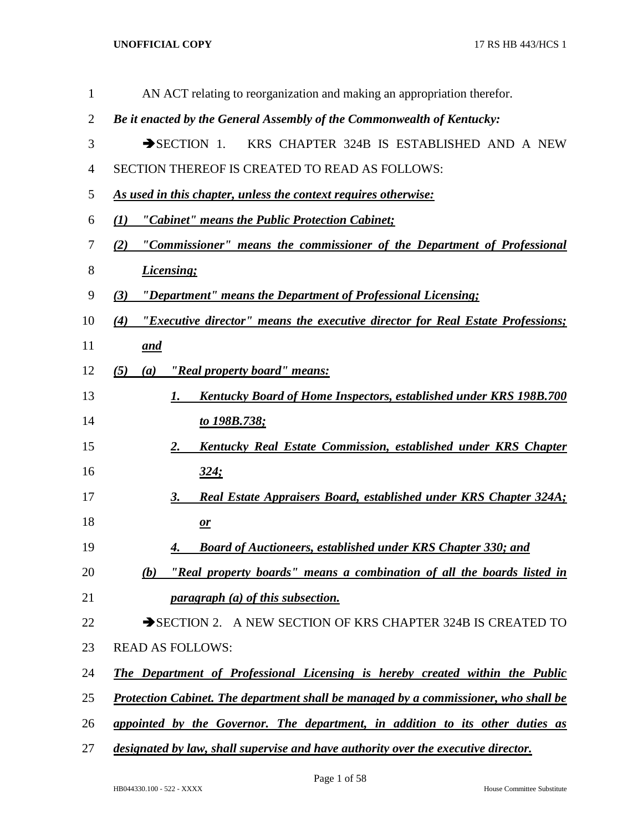| $\mathbf{1}$     | AN ACT relating to reorganization and making an appropriation therefor.               |
|------------------|---------------------------------------------------------------------------------------|
| $\overline{2}$   | Be it enacted by the General Assembly of the Commonwealth of Kentucky:                |
| 3                | KRS CHAPTER 324B IS ESTABLISHED AND A NEW<br>$\rightarrow$ SECTION 1.                 |
| $\overline{4}$   | SECTION THEREOF IS CREATED TO READ AS FOLLOWS:                                        |
| 5                | As used in this chapter, unless the context requires otherwise:                       |
| 6                | "Cabinet" means the Public Protection Cabinet;<br>$\bf(1)$                            |
| 7                | "Commissioner" means the commissioner of the Department of Professional<br>(2)        |
| 8                | <b>Licensing</b> ;                                                                    |
| $\boldsymbol{9}$ | "Department" means the Department of Professional Licensing;<br>(3)                   |
| 10               | "Executive director" means the executive director for Real Estate Professions;<br>(4) |
| 11               | <u>and</u>                                                                            |
| 12               | "Real property board" means:<br>(5)<br>(a)                                            |
| 13               | <b>Kentucky Board of Home Inspectors, established under KRS 198B.700</b><br>1.        |
| 14               | <u>to 198B.738;</u>                                                                   |
| 15               | Kentucky Real Estate Commission, established under KRS Chapter<br><u>2.</u>           |
| 16               | <u>324;</u>                                                                           |
| 17               | Real Estate Appraisers Board, established under KRS Chapter 324A;<br><u>3.</u>        |
| 18               | $\mathbf{r}$                                                                          |
| 19               | Board of Auctioneers, established under KRS Chapter 330; and<br><u>4.</u>             |
| 20               | "Real property boards" means a combination of all the boards listed in<br>(b)         |
| 21               | <i>paragraph (a) of this subsection.</i>                                              |
| 22               | SECTION 2. A NEW SECTION OF KRS CHAPTER 324B IS CREATED TO                            |
| 23               | <b>READ AS FOLLOWS:</b>                                                               |
| 24               | The Department of Professional Licensing is hereby created within the Public          |
| 25               | Protection Cabinet. The department shall be managed by a commissioner, who shall be   |
| 26               | appointed by the Governor. The department, in addition to its other duties as         |
| 27               | designated by law, shall supervise and have authority over the executive director.    |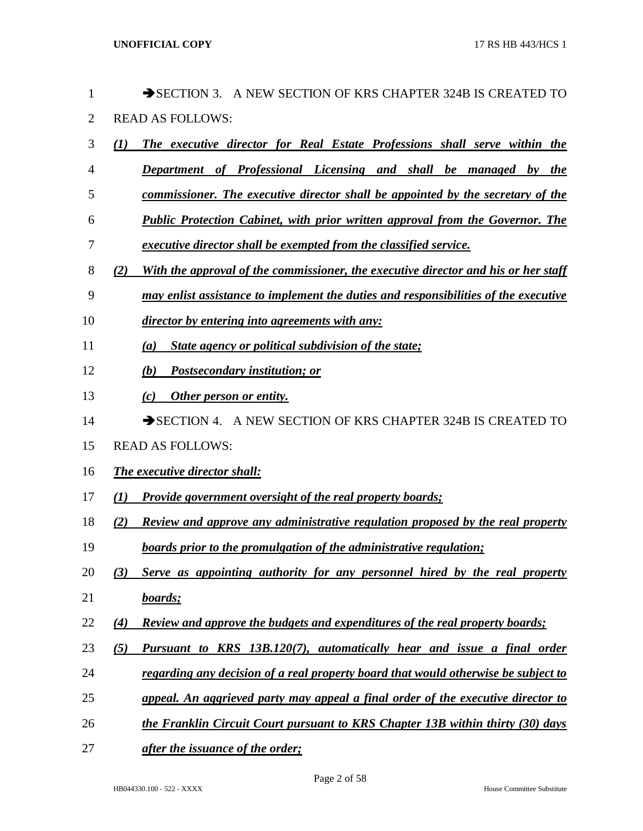| 1              | SECTION 3. A NEW SECTION OF KRS CHAPTER 324B IS CREATED TO                                    |
|----------------|-----------------------------------------------------------------------------------------------|
| $\overline{2}$ | <b>READ AS FOLLOWS:</b>                                                                       |
| 3              | The executive director for Real Estate Professions shall serve within the<br>$\mathcal{L}(I)$ |
| 4              | Department of Professional Licensing and shall be managed by the                              |
| 5              | commissioner. The executive director shall be appointed by the secretary of the               |
| 6              | Public Protection Cabinet, with prior written approval from the Governor. The                 |
| 7              | <i>executive director shall be exempted from the classified service.</i>                      |
| 8              | With the approval of the commissioner, the executive director and his or her staff<br>(2)     |
| 9              | may enlist assistance to implement the duties and responsibilities of the executive           |
| 10             | director by entering into agreements with any:                                                |
| 11             | State agency or political subdivision of the state;<br>(a)                                    |
| 12             | Postsecondary institution; or<br>(b)                                                          |
| 13             | Other person or entity.<br>(c)                                                                |
| 14             | SECTION 4. A NEW SECTION OF KRS CHAPTER 324B IS CREATED TO                                    |
| 15             | <b>READ AS FOLLOWS:</b>                                                                       |
| 16             | The executive director shall:                                                                 |
| 17             | <b>Provide government oversight of the real property boards;</b><br>(1)                       |
| 18             | Review and approve any administrative regulation proposed by the real property<br>(2)         |
| 19             | boards prior to the promulgation of the administrative regulation;                            |
| 20             | Serve as appointing authority for any personnel hired by the real property<br>(3)             |
| 21             | boards;                                                                                       |
| 22             | <b>Review and approve the budgets and expenditures of the real property boards;</b><br>(4)    |
| 23             | (5)<br>Pursuant to KRS 13B.120(7), automatically hear and issue a final order                 |
| 24             | regarding any decision of a real property board that would otherwise be subject to            |
| 25             | appeal. An aggrieved party may appeal a final order of the executive director to              |
| 26             | the Franklin Circuit Court pursuant to KRS Chapter 13B within thirty (30) days                |

*after the issuance of the order;*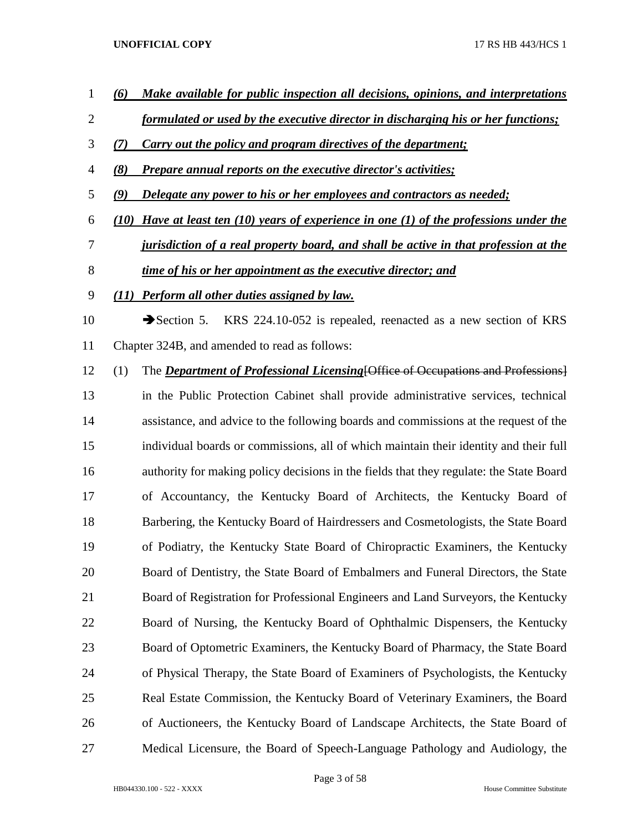- *(6) Make available for public inspection all decisions, opinions, and interpretations*
- *formulated or used by the executive director in discharging his or her functions;*
- *(7) Carry out the policy and program directives of the department;*
- *(8) Prepare annual reports on the executive director's activities;*
- *(9) Delegate any power to his or her employees and contractors as needed;*
- *(10) Have at least ten (10) years of experience in one (1) of the professions under the jurisdiction of a real property board, and shall be active in that profession at the time of his or her appointment as the executive director; and*
- *(11) Perform all other duties assigned by law.*
- 10 Section 5. KRS 224.10-052 is repealed, reenacted as a new section of KRS Chapter 324B, and amended to read as follows:
- (1) The *Department of Professional Licensing*[Office of Occupations and Professions]
- in the Public Protection Cabinet shall provide administrative services, technical assistance, and advice to the following boards and commissions at the request of the individual boards or commissions, all of which maintain their identity and their full authority for making policy decisions in the fields that they regulate: the State Board of Accountancy, the Kentucky Board of Architects, the Kentucky Board of Barbering, the Kentucky Board of Hairdressers and Cosmetologists, the State Board of Podiatry, the Kentucky State Board of Chiropractic Examiners, the Kentucky Board of Dentistry, the State Board of Embalmers and Funeral Directors, the State Board of Registration for Professional Engineers and Land Surveyors, the Kentucky Board of Nursing, the Kentucky Board of Ophthalmic Dispensers, the Kentucky Board of Optometric Examiners, the Kentucky Board of Pharmacy, the State Board of Physical Therapy, the State Board of Examiners of Psychologists, the Kentucky Real Estate Commission, the Kentucky Board of Veterinary Examiners, the Board of Auctioneers, the Kentucky Board of Landscape Architects, the State Board of Medical Licensure, the Board of Speech-Language Pathology and Audiology, the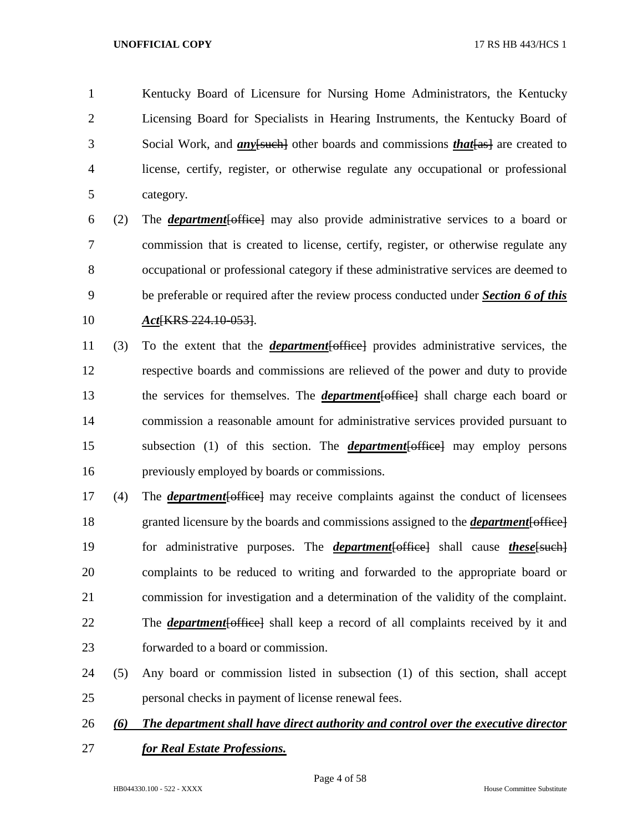Kentucky Board of Licensure for Nursing Home Administrators, the Kentucky Licensing Board for Specialists in Hearing Instruments, the Kentucky Board of Social Work, and *any*[such] other boards and commissions *that*[as] are created to license, certify, register, or otherwise regulate any occupational or professional category.

 (2) The *department*[office] may also provide administrative services to a board or commission that is created to license, certify, register, or otherwise regulate any occupational or professional category if these administrative services are deemed to be preferable or required after the review process conducted under *Section 6 of this Act*[KRS 224.10-053].

 (3) To the extent that the *department*[office] provides administrative services, the respective boards and commissions are relieved of the power and duty to provide the services for themselves. The *department*[office] shall charge each board or commission a reasonable amount for administrative services provided pursuant to subsection (1) of this section. The *department*[office] may employ persons previously employed by boards or commissions.

 (4) The *department*[office] may receive complaints against the conduct of licensees granted licensure by the boards and commissions assigned to the *department*[office] for administrative purposes. The *department*[office] shall cause *these*[such] complaints to be reduced to writing and forwarded to the appropriate board or commission for investigation and a determination of the validity of the complaint. The *department*[office] shall keep a record of all complaints received by it and forwarded to a board or commission.

- (5) Any board or commission listed in subsection (1) of this section, shall accept personal checks in payment of license renewal fees.
- *(6) The department shall have direct authority and control over the executive director*
- *for Real Estate Professions.*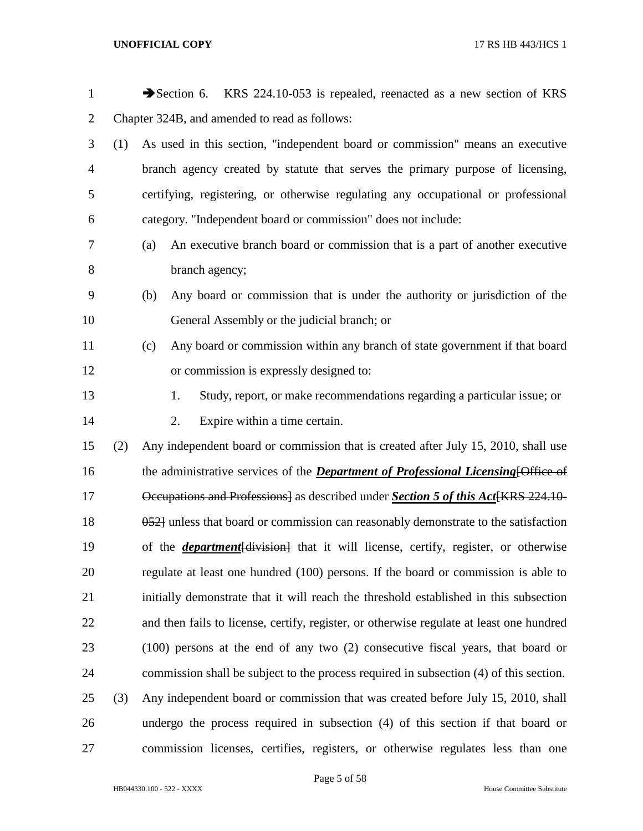| $\mathbf{1}$   |     | Section 6. KRS 224.10-053 is repealed, reenacted as a new section of KRS                  |  |  |  |  |  |  |  |
|----------------|-----|-------------------------------------------------------------------------------------------|--|--|--|--|--|--|--|
| $\overline{2}$ |     | Chapter 324B, and amended to read as follows:                                             |  |  |  |  |  |  |  |
| 3              | (1) | As used in this section, "independent board or commission" means an executive             |  |  |  |  |  |  |  |
| $\overline{4}$ |     | branch agency created by statute that serves the primary purpose of licensing,            |  |  |  |  |  |  |  |
| 5              |     | certifying, registering, or otherwise regulating any occupational or professional         |  |  |  |  |  |  |  |
| 6              |     | category. "Independent board or commission" does not include:                             |  |  |  |  |  |  |  |
| 7              |     | An executive branch board or commission that is a part of another executive<br>(a)        |  |  |  |  |  |  |  |
| 8              |     | branch agency;                                                                            |  |  |  |  |  |  |  |
| 9              |     | Any board or commission that is under the authority or jurisdiction of the<br>(b)         |  |  |  |  |  |  |  |
| 10             |     | General Assembly or the judicial branch; or                                               |  |  |  |  |  |  |  |
| 11             |     | Any board or commission within any branch of state government if that board<br>(c)        |  |  |  |  |  |  |  |
| 12             |     | or commission is expressly designed to:                                                   |  |  |  |  |  |  |  |
| 13             |     | Study, report, or make recommendations regarding a particular issue; or<br>1.             |  |  |  |  |  |  |  |
| 14             |     | Expire within a time certain.<br>2.                                                       |  |  |  |  |  |  |  |
| 15             | (2) | Any independent board or commission that is created after July 15, 2010, shall use        |  |  |  |  |  |  |  |
| 16             |     | the administrative services of the <i>Department of Professional Licensing</i> [Office of |  |  |  |  |  |  |  |
| 17             |     | Occupations and Professions] as described under Section 5 of this Act[KRS 224.10-         |  |  |  |  |  |  |  |
| 18             |     | 0521 unless that board or commission can reasonably demonstrate to the satisfaction       |  |  |  |  |  |  |  |
| 19             |     | of the <i>department</i> [division] that it will license, certify, register, or otherwise |  |  |  |  |  |  |  |
| 20             |     | regulate at least one hundred (100) persons. If the board or commission is able to        |  |  |  |  |  |  |  |
| 21             |     | initially demonstrate that it will reach the threshold established in this subsection     |  |  |  |  |  |  |  |
| 22             |     | and then fails to license, certify, register, or otherwise regulate at least one hundred  |  |  |  |  |  |  |  |
| 23             |     | $(100)$ persons at the end of any two $(2)$ consecutive fiscal years, that board or       |  |  |  |  |  |  |  |
| 24             |     | commission shall be subject to the process required in subsection (4) of this section.    |  |  |  |  |  |  |  |
| 25             | (3) | Any independent board or commission that was created before July 15, 2010, shall          |  |  |  |  |  |  |  |
| 26             |     | undergo the process required in subsection (4) of this section if that board or           |  |  |  |  |  |  |  |
| 27             |     | commission licenses, certifies, registers, or otherwise regulates less than one           |  |  |  |  |  |  |  |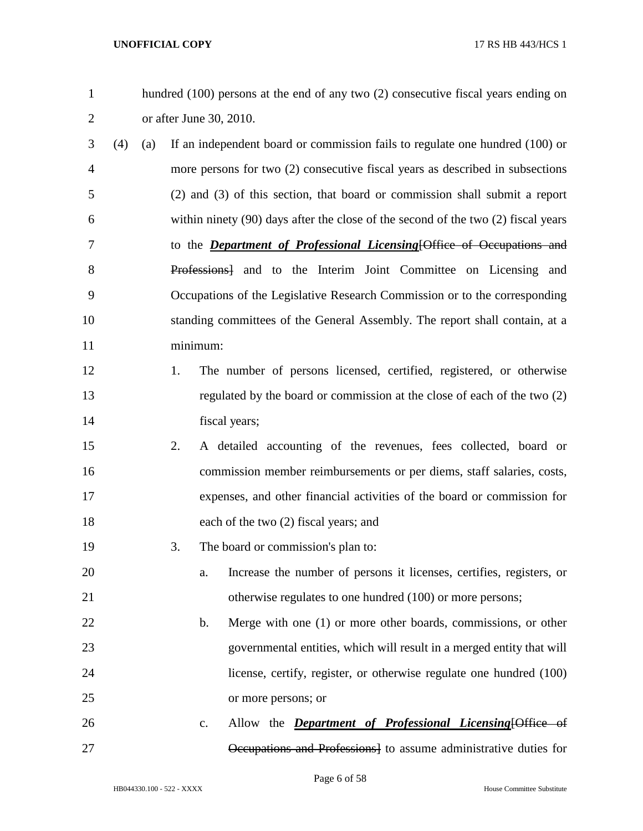| $\mathbf{1}$   |     |     |    | hundred (100) persons at the end of any two (2) consecutive fiscal years ending on    |  |  |  |  |  |  |
|----------------|-----|-----|----|---------------------------------------------------------------------------------------|--|--|--|--|--|--|
| $\overline{2}$ |     |     |    | or after June 30, 2010.                                                               |  |  |  |  |  |  |
| 3              | (4) | (a) |    | If an independent board or commission fails to regulate one hundred (100) or          |  |  |  |  |  |  |
| $\overline{4}$ |     |     |    | more persons for two (2) consecutive fiscal years as described in subsections         |  |  |  |  |  |  |
| 5              |     |     |    | (2) and (3) of this section, that board or commission shall submit a report           |  |  |  |  |  |  |
| 6              |     |     |    | within ninety $(90)$ days after the close of the second of the two $(2)$ fiscal years |  |  |  |  |  |  |
| 7              |     |     |    | to the <b>Department of Professional Licensing</b> [Office of Occupations and         |  |  |  |  |  |  |
| 8              |     |     |    | Professions] and to the Interim Joint Committee on Licensing and                      |  |  |  |  |  |  |
| 9              |     |     |    | Occupations of the Legislative Research Commission or to the corresponding            |  |  |  |  |  |  |
| 10             |     |     |    | standing committees of the General Assembly. The report shall contain, at a           |  |  |  |  |  |  |
| 11             |     |     |    | minimum:                                                                              |  |  |  |  |  |  |
| 12             |     |     | 1. | The number of persons licensed, certified, registered, or otherwise                   |  |  |  |  |  |  |
| 13             |     |     |    | regulated by the board or commission at the close of each of the two (2)              |  |  |  |  |  |  |
| 14             |     |     |    | fiscal years;                                                                         |  |  |  |  |  |  |
| 15             |     |     | 2. | A detailed accounting of the revenues, fees collected, board or                       |  |  |  |  |  |  |
| 16             |     |     |    | commission member reimbursements or per diems, staff salaries, costs,                 |  |  |  |  |  |  |
| 17             |     |     |    | expenses, and other financial activities of the board or commission for               |  |  |  |  |  |  |
| 18             |     |     |    | each of the two (2) fiscal years; and                                                 |  |  |  |  |  |  |
| 19             |     |     | 3. | The board or commission's plan to:                                                    |  |  |  |  |  |  |
| 20             |     |     |    | Increase the number of persons it licenses, certifies, registers, or<br>a.            |  |  |  |  |  |  |
| 21             |     |     |    | otherwise regulates to one hundred (100) or more persons;                             |  |  |  |  |  |  |
| 22             |     |     |    | Merge with one (1) or more other boards, commissions, or other<br>b.                  |  |  |  |  |  |  |
| 23             |     |     |    | governmental entities, which will result in a merged entity that will                 |  |  |  |  |  |  |
| 24             |     |     |    | license, certify, register, or otherwise regulate one hundred (100)                   |  |  |  |  |  |  |
| 25             |     |     |    | or more persons; or                                                                   |  |  |  |  |  |  |
| 26             |     |     |    | Allow the <b>Department of Professional Licensing</b> [Office of<br>$\mathbf{c}$ .    |  |  |  |  |  |  |
| 27             |     |     |    | Occupations and Professions] to assume administrative duties for                      |  |  |  |  |  |  |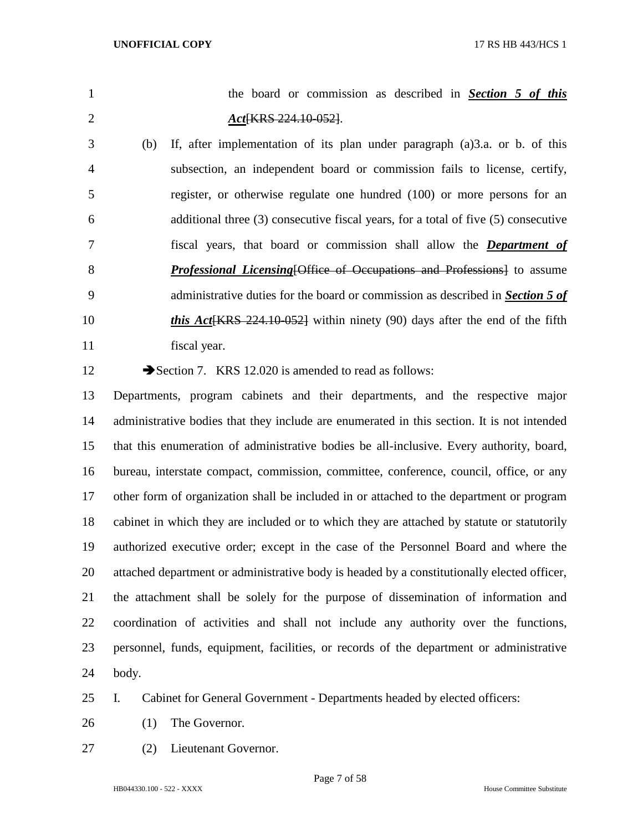the board or commission as described in *Section 5 of this Act*[KRS 224.10-052].

- (b) If, after implementation of its plan under paragraph (a)3.a. or b. of this subsection, an independent board or commission fails to license, certify, register, or otherwise regulate one hundred (100) or more persons for an additional three (3) consecutive fiscal years, for a total of five (5) consecutive fiscal years, that board or commission shall allow the *Department of Professional Licensing* [Office of Occupations and Professions] to assume administrative duties for the board or commission as described in *Section 5 of this Act* **KRS** 224.10-052] within ninety (90) days after the end of the fifth fiscal year.
- 12 Section 7. KRS 12.020 is amended to read as follows:

 Departments, program cabinets and their departments, and the respective major administrative bodies that they include are enumerated in this section. It is not intended that this enumeration of administrative bodies be all-inclusive. Every authority, board, bureau, interstate compact, commission, committee, conference, council, office, or any other form of organization shall be included in or attached to the department or program cabinet in which they are included or to which they are attached by statute or statutorily authorized executive order; except in the case of the Personnel Board and where the attached department or administrative body is headed by a constitutionally elected officer, the attachment shall be solely for the purpose of dissemination of information and coordination of activities and shall not include any authority over the functions, personnel, funds, equipment, facilities, or records of the department or administrative body.

- I. Cabinet for General Government Departments headed by elected officers:
- (1) The Governor.
- (2) Lieutenant Governor.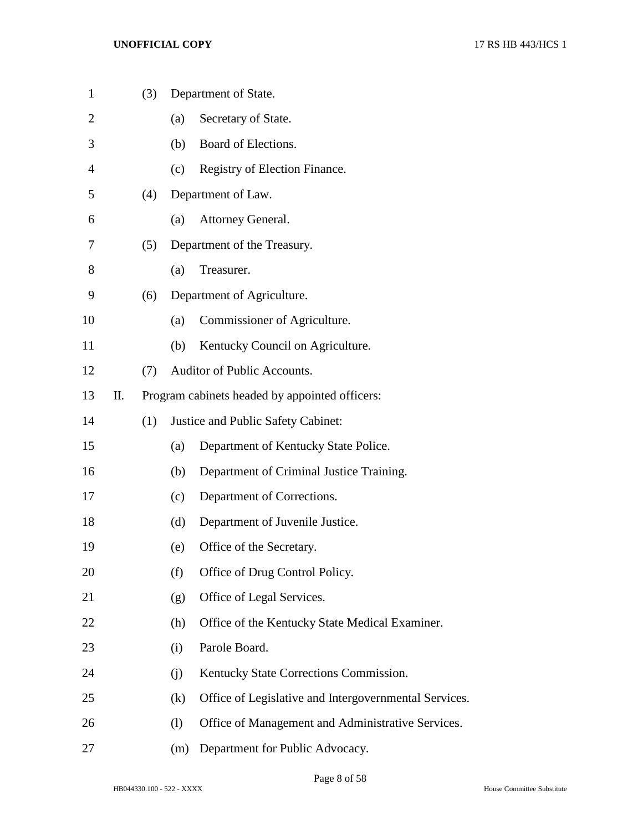| $\mathbf{1}$ |    | (3) |     | Department of State.                                  |  |  |  |
|--------------|----|-----|-----|-------------------------------------------------------|--|--|--|
| 2            |    |     | (a) | Secretary of State.                                   |  |  |  |
| 3            |    |     | (b) | Board of Elections.                                   |  |  |  |
| 4            |    |     | (c) | Registry of Election Finance.                         |  |  |  |
| 5            |    | (4) |     | Department of Law.                                    |  |  |  |
| 6            |    |     | (a) | Attorney General.                                     |  |  |  |
| 7            |    | (5) |     | Department of the Treasury.                           |  |  |  |
| 8            |    |     | (a) | Treasurer.                                            |  |  |  |
| 9            |    | (6) |     | Department of Agriculture.                            |  |  |  |
| 10           |    |     | (a) | Commissioner of Agriculture.                          |  |  |  |
| 11           |    |     | (b) | Kentucky Council on Agriculture.                      |  |  |  |
| 12           |    | (7) |     | Auditor of Public Accounts.                           |  |  |  |
| 13           | П. |     |     | Program cabinets headed by appointed officers:        |  |  |  |
| 14           |    | (1) |     | Justice and Public Safety Cabinet:                    |  |  |  |
| 15           |    |     | (a) | Department of Kentucky State Police.                  |  |  |  |
| 16           |    |     | (b) | Department of Criminal Justice Training.              |  |  |  |
| 17           |    |     | (c) | Department of Corrections.                            |  |  |  |
| 18           |    |     | (d) | Department of Juvenile Justice.                       |  |  |  |
| 19           |    |     | (e) | Office of the Secretary.                              |  |  |  |
| 20           |    |     | (f) | Office of Drug Control Policy.                        |  |  |  |
| 21           |    |     | (g) | Office of Legal Services.                             |  |  |  |
| 22           |    |     | (h) | Office of the Kentucky State Medical Examiner.        |  |  |  |
| 23           |    |     | (i) | Parole Board.                                         |  |  |  |
| 24           |    |     | (i) | Kentucky State Corrections Commission.                |  |  |  |
| 25           |    |     | (k) | Office of Legislative and Intergovernmental Services. |  |  |  |
| 26           |    |     | (1) | Office of Management and Administrative Services.     |  |  |  |
| 27           |    |     | (m) | Department for Public Advocacy.                       |  |  |  |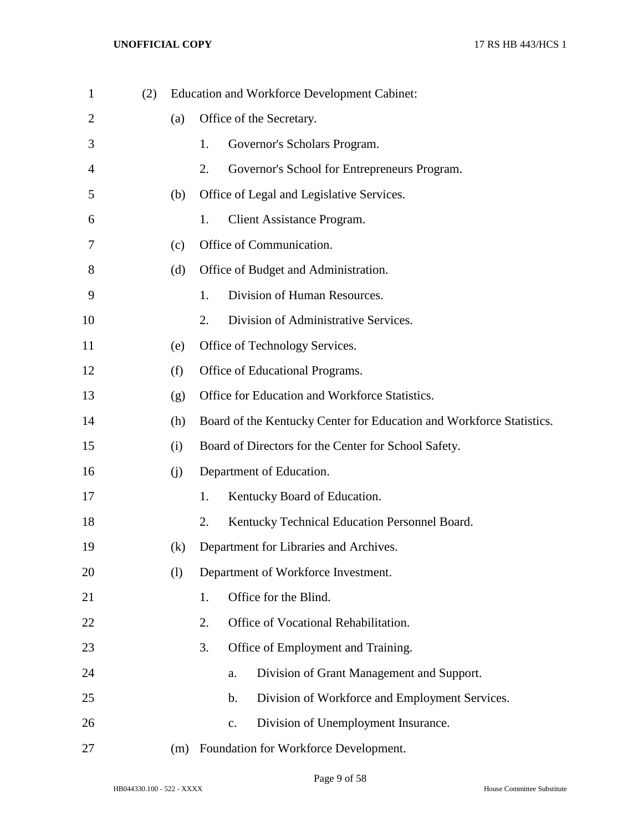| $\mathbf{1}$ | (2) | <b>Education and Workforce Development Cabinet:</b> |    |                                                                      |  |
|--------------|-----|-----------------------------------------------------|----|----------------------------------------------------------------------|--|
| 2            |     | (a)                                                 |    | Office of the Secretary.                                             |  |
| 3            |     |                                                     | 1. | Governor's Scholars Program.                                         |  |
| 4            |     |                                                     | 2. | Governor's School for Entrepreneurs Program.                         |  |
| 5            |     | (b)                                                 |    | Office of Legal and Legislative Services.                            |  |
| 6            |     |                                                     | 1. | <b>Client Assistance Program.</b>                                    |  |
| 7            |     | (c)                                                 |    | Office of Communication.                                             |  |
| 8            |     | (d)                                                 |    | Office of Budget and Administration.                                 |  |
| 9            |     |                                                     | 1. | Division of Human Resources.                                         |  |
| 10           |     |                                                     | 2. | Division of Administrative Services.                                 |  |
| 11           |     | (e)                                                 |    | Office of Technology Services.                                       |  |
| 12           |     | (f)                                                 |    | Office of Educational Programs.                                      |  |
| 13           |     | (g)                                                 |    | Office for Education and Workforce Statistics.                       |  |
| 14           |     | (h)                                                 |    | Board of the Kentucky Center for Education and Workforce Statistics. |  |
| 15           |     | (i)                                                 |    | Board of Directors for the Center for School Safety.                 |  |
| 16           |     | (i)                                                 |    | Department of Education.                                             |  |
| 17           |     |                                                     | 1. | Kentucky Board of Education.                                         |  |
| 18           |     |                                                     | 2. | Kentucky Technical Education Personnel Board.                        |  |
| 19           |     | (k)                                                 |    | Department for Libraries and Archives.                               |  |
| 20           |     | (1)                                                 |    | Department of Workforce Investment.                                  |  |
| 21           |     |                                                     | 1. | Office for the Blind.                                                |  |
| 22           |     |                                                     | 2. | Office of Vocational Rehabilitation.                                 |  |
| 23           |     |                                                     | 3. | Office of Employment and Training.                                   |  |
| 24           |     |                                                     |    | Division of Grant Management and Support.<br>a.                      |  |
| 25           |     |                                                     |    | Division of Workforce and Employment Services.<br>$\mathbf b$ .      |  |
| 26           |     |                                                     |    | Division of Unemployment Insurance.<br>$\mathbf{c}$ .                |  |
| 27           |     | (m)                                                 |    | Foundation for Workforce Development.                                |  |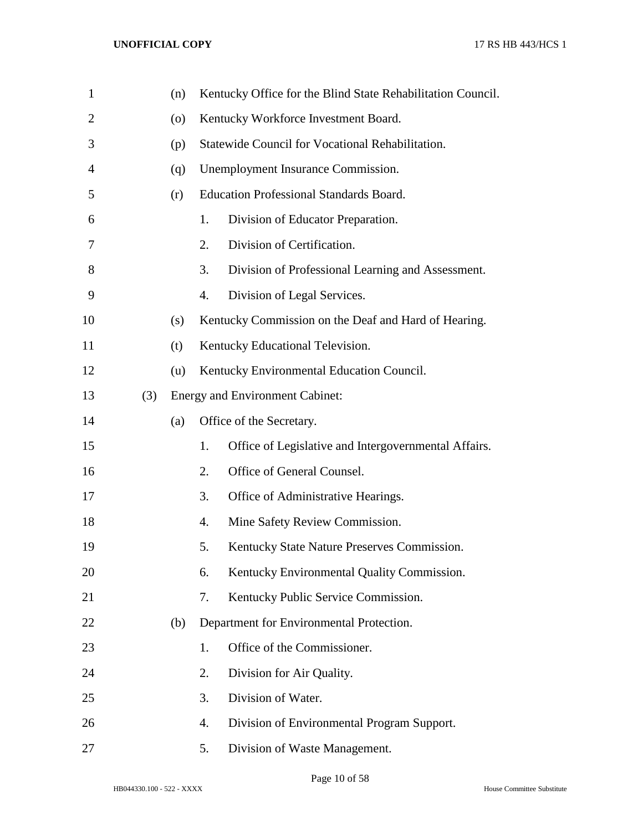| $\mathbf{1}$   |     | (n) |    | Kentucky Office for the Blind State Rehabilitation Council. |
|----------------|-----|-----|----|-------------------------------------------------------------|
| $\overline{2}$ |     | (0) |    | Kentucky Workforce Investment Board.                        |
| 3              |     | (p) |    | Statewide Council for Vocational Rehabilitation.            |
| 4              |     | (q) |    | Unemployment Insurance Commission.                          |
| 5              |     | (r) |    | <b>Education Professional Standards Board.</b>              |
| 6              |     |     | 1. | Division of Educator Preparation.                           |
| 7              |     |     | 2. | Division of Certification.                                  |
| 8              |     |     | 3. | Division of Professional Learning and Assessment.           |
| 9              |     |     | 4. | Division of Legal Services.                                 |
| 10             |     | (s) |    | Kentucky Commission on the Deaf and Hard of Hearing.        |
| 11             |     | (t) |    | Kentucky Educational Television.                            |
| 12             |     | (u) |    | Kentucky Environmental Education Council.                   |
| 13             | (3) |     |    | <b>Energy and Environment Cabinet:</b>                      |
| 14             |     | (a) |    | Office of the Secretary.                                    |
| 15             |     |     | 1. | Office of Legislative and Intergovernmental Affairs.        |
| 16             |     |     | 2. | Office of General Counsel.                                  |
| 17             |     |     | 3. | Office of Administrative Hearings.                          |
| 18             |     |     | 4. | Mine Safety Review Commission.                              |
| 19             |     |     | 5. | Kentucky State Nature Preserves Commission.                 |
| 20             |     |     | 6. | Kentucky Environmental Quality Commission.                  |
| 21             |     |     | 7. | Kentucky Public Service Commission.                         |
| 22             |     | (b) |    | Department for Environmental Protection.                    |
| 23             |     |     | 1. | Office of the Commissioner.                                 |
| 24             |     |     | 2. | Division for Air Quality.                                   |
| 25             |     |     | 3. | Division of Water.                                          |
| 26             |     |     | 4. | Division of Environmental Program Support.                  |
| 27             |     |     | 5. | Division of Waste Management.                               |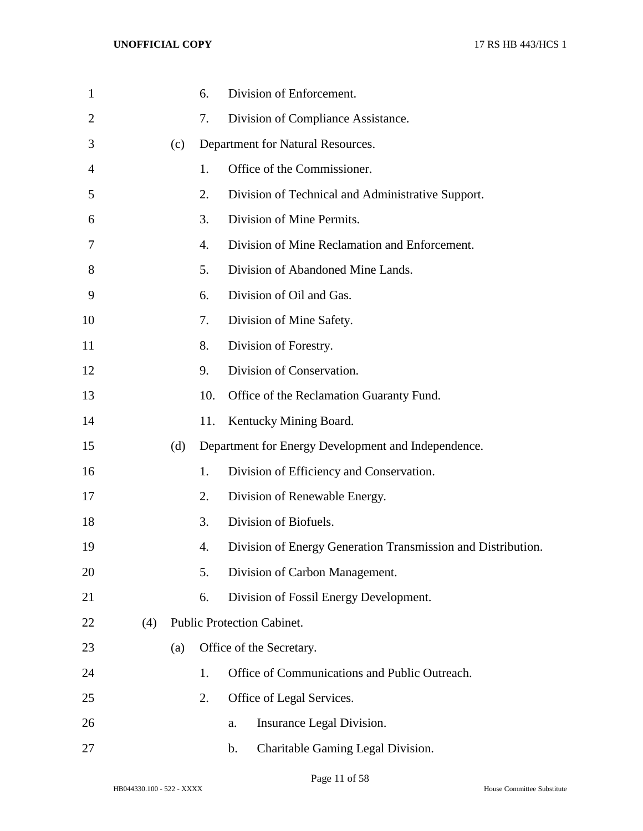| $\mathbf{1}$   |     |     | 6.  | Division of Enforcement.                                     |
|----------------|-----|-----|-----|--------------------------------------------------------------|
| $\overline{2}$ |     |     | 7.  | Division of Compliance Assistance.                           |
| 3              |     | (c) |     | Department for Natural Resources.                            |
| 4              |     |     | 1.  | Office of the Commissioner.                                  |
| 5              |     |     | 2.  | Division of Technical and Administrative Support.            |
| 6              |     |     | 3.  | Division of Mine Permits.                                    |
| 7              |     |     | 4.  | Division of Mine Reclamation and Enforcement.                |
| 8              |     |     | 5.  | Division of Abandoned Mine Lands.                            |
| 9              |     |     | 6.  | Division of Oil and Gas.                                     |
| 10             |     |     | 7.  | Division of Mine Safety.                                     |
| 11             |     |     | 8.  | Division of Forestry.                                        |
| 12             |     |     | 9.  | Division of Conservation.                                    |
| 13             |     |     | 10. | Office of the Reclamation Guaranty Fund.                     |
| 14             |     |     | 11. | Kentucky Mining Board.                                       |
| 15             |     | (d) |     | Department for Energy Development and Independence.          |
| 16             |     |     | 1.  | Division of Efficiency and Conservation.                     |
| 17             |     |     | 2.  | Division of Renewable Energy.                                |
| 18             |     |     | 3.  | Division of Biofuels.                                        |
| 19             |     |     | 4.  | Division of Energy Generation Transmission and Distribution. |
| 20             |     |     | 5.  | Division of Carbon Management.                               |
| 21             |     |     | 6.  | Division of Fossil Energy Development.                       |
| 22             | (4) |     |     | Public Protection Cabinet.                                   |
| 23             |     | (a) |     | Office of the Secretary.                                     |
| 24             |     |     | 1.  | Office of Communications and Public Outreach.                |
| 25             |     |     | 2.  | Office of Legal Services.                                    |
| 26             |     |     |     | Insurance Legal Division.<br>a.                              |
| 27             |     |     |     | Charitable Gaming Legal Division.<br>$\mathbf b$ .           |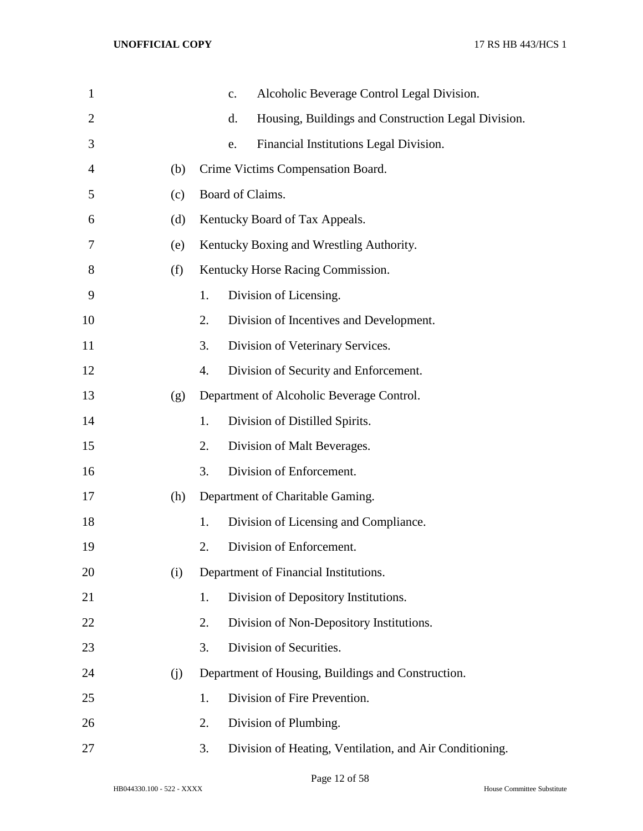| $\mathbf{1}$   |     | Alcoholic Beverage Control Legal Division.<br>c.              |
|----------------|-----|---------------------------------------------------------------|
| $\overline{2}$ |     | Housing, Buildings and Construction Legal Division.<br>d.     |
| 3              |     | Financial Institutions Legal Division.<br>e.                  |
| 4              | (b) | Crime Victims Compensation Board.                             |
| 5              | (c) | Board of Claims.                                              |
| 6              | (d) | Kentucky Board of Tax Appeals.                                |
| 7              | (e) | Kentucky Boxing and Wrestling Authority.                      |
| 8              | (f) | Kentucky Horse Racing Commission.                             |
| 9              |     | Division of Licensing.<br>1.                                  |
| 10             |     | Division of Incentives and Development.<br>2.                 |
| 11             |     | Division of Veterinary Services.<br>3.                        |
| 12             |     | Division of Security and Enforcement.<br>4.                   |
| 13             | (g) | Department of Alcoholic Beverage Control.                     |
| 14             |     | Division of Distilled Spirits.<br>1.                          |
| 15             |     | 2.<br>Division of Malt Beverages.                             |
| 16             |     | Division of Enforcement.<br>3.                                |
| 17             | (h) | Department of Charitable Gaming.                              |
| 18             |     | Division of Licensing and Compliance.<br>1.                   |
| 19             |     | Division of Enforcement.<br>2.                                |
| 20             | (i) | Department of Financial Institutions.                         |
| 21             |     | Division of Depository Institutions.<br>1.                    |
| 22             |     | Division of Non-Depository Institutions.<br>2.                |
| 23             |     | Division of Securities.<br>3.                                 |
| 24             | (i) | Department of Housing, Buildings and Construction.            |
| 25             |     | Division of Fire Prevention.<br>1.                            |
| 26             |     | 2.<br>Division of Plumbing.                                   |
| 27             |     | Division of Heating, Ventilation, and Air Conditioning.<br>3. |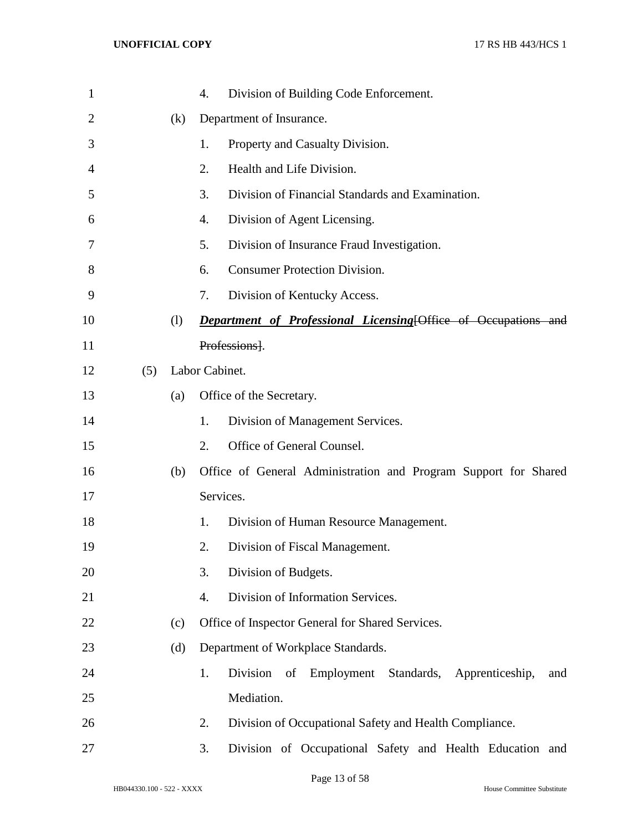| $\mathbf{1}$ |     |                              | $\overline{4}$ .<br>Division of Building Code Enforcement.              |
|--------------|-----|------------------------------|-------------------------------------------------------------------------|
| 2            |     | (k)                          | Department of Insurance.                                                |
| 3            |     |                              | 1.<br>Property and Casualty Division.                                   |
| 4            |     |                              | 2.<br>Health and Life Division.                                         |
| 5            |     |                              | 3.<br>Division of Financial Standards and Examination.                  |
| 6            |     |                              | 4.<br>Division of Agent Licensing.                                      |
| 7            |     |                              | 5.<br>Division of Insurance Fraud Investigation.                        |
| 8            |     |                              | <b>Consumer Protection Division.</b><br>6.                              |
| 9            |     |                              | 7.<br>Division of Kentucky Access.                                      |
| 10           |     | $\left( \frac{1}{2} \right)$ | <b>Department of Professional Licensing [Office of Occupations and</b>  |
| 11           |     |                              | Professions].                                                           |
| 12           | (5) |                              | Labor Cabinet.                                                          |
| 13           |     | (a)                          | Office of the Secretary.                                                |
| 14           |     |                              | 1.<br>Division of Management Services.                                  |
| 15           |     |                              | Office of General Counsel.<br>2.                                        |
| 16           |     | (b)                          | Office of General Administration and Program Support for Shared         |
| 17           |     |                              | Services.                                                               |
| 18           |     |                              | 1.<br>Division of Human Resource Management.                            |
| 19           |     |                              | 2.<br>Division of Fiscal Management.                                    |
| 20           |     |                              | 3.<br>Division of Budgets.                                              |
| 21           |     |                              | 4.<br>Division of Information Services.                                 |
| 22           |     | (c)                          | Office of Inspector General for Shared Services.                        |
| 23           |     | (d)                          | Department of Workplace Standards.                                      |
| 24           |     |                              | Employment<br>Standards, Apprenticeship,<br>1.<br>Division<br>of<br>and |
| 25           |     |                              | Mediation.                                                              |
| 26           |     |                              | 2.<br>Division of Occupational Safety and Health Compliance.            |
| 27           |     |                              | 3.<br>Division of Occupational Safety and Health Education and          |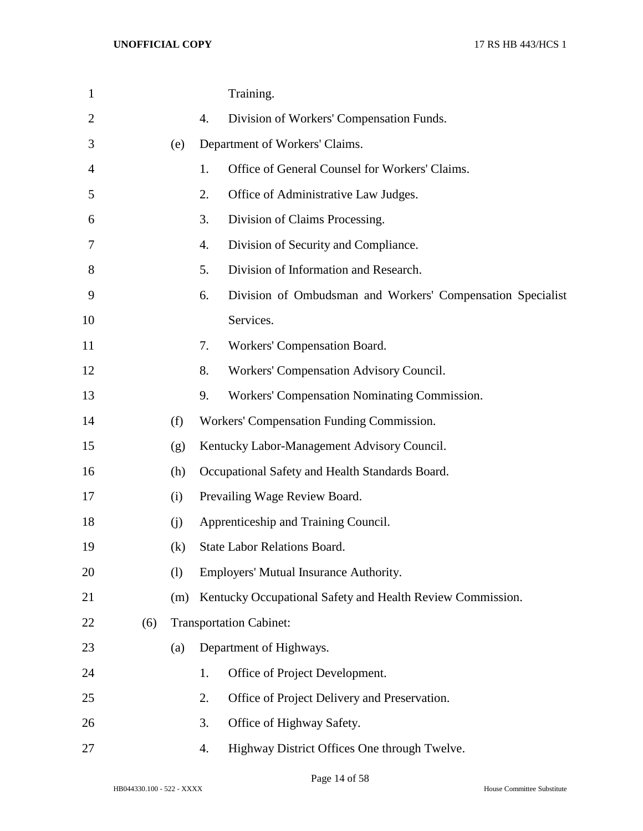| $\mathbf{1}$ |     |     | Training.                                                        |
|--------------|-----|-----|------------------------------------------------------------------|
| 2            |     |     | 4.<br>Division of Workers' Compensation Funds.                   |
| 3            |     | (e) | Department of Workers' Claims.                                   |
| 4            |     |     | Office of General Counsel for Workers' Claims.<br>1.             |
| 5            |     |     | 2.<br>Office of Administrative Law Judges.                       |
| 6            |     |     | 3.<br>Division of Claims Processing.                             |
| 7            |     |     | 4.<br>Division of Security and Compliance.                       |
| 8            |     |     | 5.<br>Division of Information and Research.                      |
| 9            |     |     | 6.<br>Division of Ombudsman and Workers' Compensation Specialist |
| 10           |     |     | Services.                                                        |
| 11           |     |     | 7.<br>Workers' Compensation Board.                               |
| 12           |     |     | 8.<br>Workers' Compensation Advisory Council.                    |
| 13           |     |     | 9.<br>Workers' Compensation Nominating Commission.               |
| 14           |     | (f) | Workers' Compensation Funding Commission.                        |
| 15           |     | (g) | Kentucky Labor-Management Advisory Council.                      |
| 16           |     | (h) | Occupational Safety and Health Standards Board.                  |
| 17           |     | (i) | Prevailing Wage Review Board.                                    |
| 18           |     | (j) | Apprenticeship and Training Council.                             |
| 19           |     | (k) | <b>State Labor Relations Board.</b>                              |
| 20           |     | (1) | Employers' Mutual Insurance Authority.                           |
| 21           |     | (m) | Kentucky Occupational Safety and Health Review Commission.       |
| 22           | (6) |     | <b>Transportation Cabinet:</b>                                   |
| 23           |     | (a) | Department of Highways.                                          |
| 24           |     |     | Office of Project Development.<br>1.                             |
| 25           |     |     | 2.<br>Office of Project Delivery and Preservation.               |
| 26           |     |     | 3.<br>Office of Highway Safety.                                  |
| 27           |     |     | Highway District Offices One through Twelve.<br>4.               |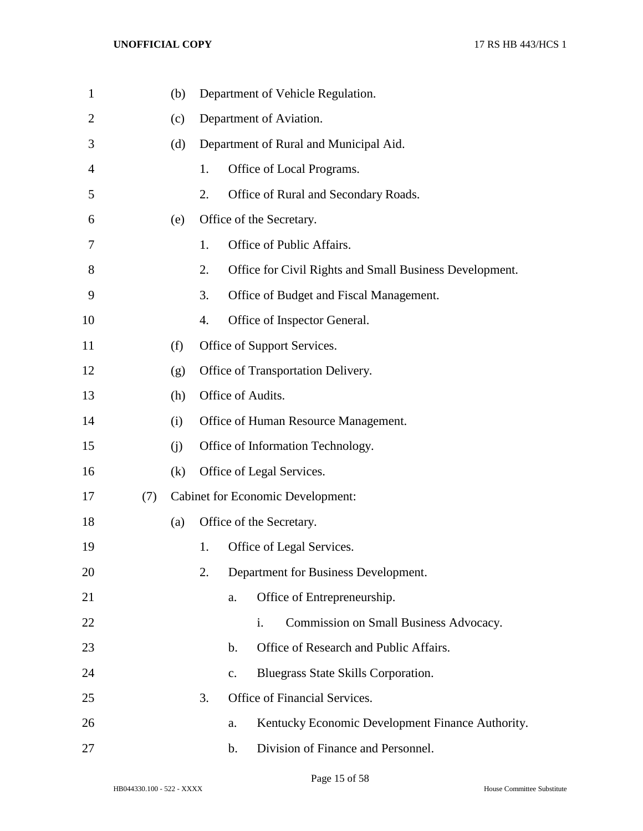| $\mathbf{1}$   |     | (b) |    | Department of Vehicle Regulation.                        |
|----------------|-----|-----|----|----------------------------------------------------------|
| $\overline{2}$ |     | (c) |    | Department of Aviation.                                  |
| 3              |     | (d) |    | Department of Rural and Municipal Aid.                   |
| 4              |     |     | 1. | Office of Local Programs.                                |
| 5              |     |     | 2. | Office of Rural and Secondary Roads.                     |
| 6              |     | (e) |    | Office of the Secretary.                                 |
| 7              |     |     | 1. | Office of Public Affairs.                                |
| 8              |     |     | 2. | Office for Civil Rights and Small Business Development.  |
| 9              |     |     | 3. | Office of Budget and Fiscal Management.                  |
| 10             |     |     | 4. | Office of Inspector General.                             |
| 11             |     | (f) |    | Office of Support Services.                              |
| 12             |     | (g) |    | Office of Transportation Delivery.                       |
| 13             |     | (h) |    | Office of Audits.                                        |
| 14             |     | (i) |    | Office of Human Resource Management.                     |
| 15             |     | (i) |    | Office of Information Technology.                        |
| 16             |     | (k) |    | Office of Legal Services.                                |
| 17             | (7) |     |    | <b>Cabinet for Economic Development:</b>                 |
| 18             |     | (a) |    | Office of the Secretary.                                 |
| 19             |     |     | 1. | Office of Legal Services.                                |
| 20             |     |     | 2. | Department for Business Development.                     |
| 21             |     |     |    | Office of Entrepreneurship.<br>a.                        |
| 22             |     |     |    | Commission on Small Business Advocacy.<br>$\mathbf{i}$ . |
| 23             |     |     |    | Office of Research and Public Affairs.<br>$\mathbf b$ .  |
| 24             |     |     |    | Bluegrass State Skills Corporation.<br>$C_{\bullet}$     |
| 25             |     |     | 3. | Office of Financial Services.                            |
| 26             |     |     |    | Kentucky Economic Development Finance Authority.<br>a.   |
| 27             |     |     |    | Division of Finance and Personnel.<br>$\mathbf b$ .      |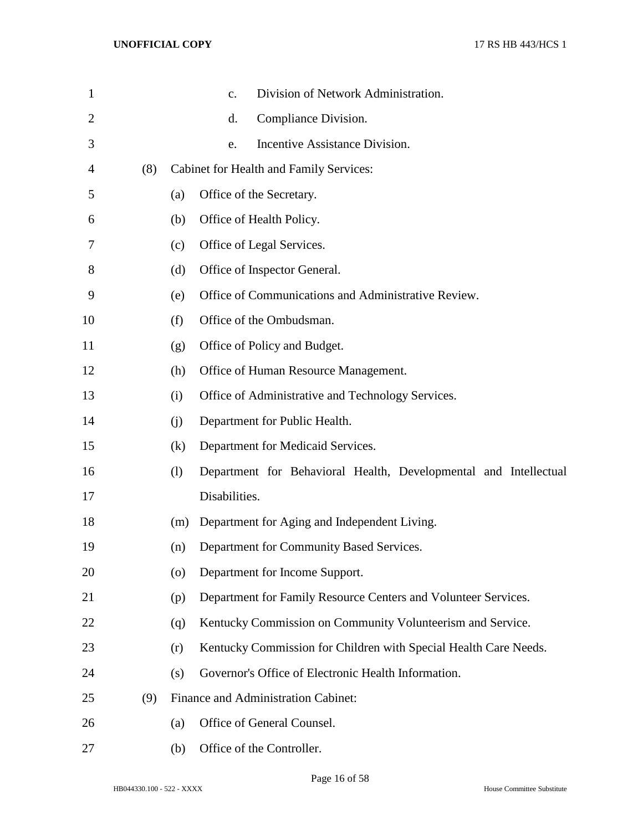| $\mathbf{1}$ |     |                              | Division of Network Administration.<br>$\mathbf{c}$ .            |
|--------------|-----|------------------------------|------------------------------------------------------------------|
| 2            |     |                              | Compliance Division.<br>d.                                       |
| 3            |     |                              | Incentive Assistance Division.<br>e.                             |
| 4            | (8) |                              | Cabinet for Health and Family Services:                          |
| 5            |     | (a)                          | Office of the Secretary.                                         |
| 6            |     | (b)                          | Office of Health Policy.                                         |
| 7            |     | (c)                          | Office of Legal Services.                                        |
| 8            |     | (d)                          | Office of Inspector General.                                     |
| 9            |     | (e)                          | Office of Communications and Administrative Review.              |
| 10           |     | (f)                          | Office of the Ombudsman.                                         |
| 11           |     | (g)                          | Office of Policy and Budget.                                     |
| 12           |     | (h)                          | Office of Human Resource Management.                             |
| 13           |     | (i)                          | Office of Administrative and Technology Services.                |
| 14           |     | (j)                          | Department for Public Health.                                    |
| 15           |     | (k)                          | Department for Medicaid Services.                                |
| 16           |     | $\left( \frac{1}{2} \right)$ | Department for Behavioral Health, Developmental and Intellectual |
| 17           |     |                              | Disabilities.                                                    |
| 18           |     | (m)                          | Department for Aging and Independent Living.                     |
| 19           |     | (n)                          | Department for Community Based Services.                         |
| 20           |     | $\left( 0 \right)$           | Department for Income Support.                                   |
| 21           |     | (p)                          | Department for Family Resource Centers and Volunteer Services.   |
| 22           |     | (q)                          | Kentucky Commission on Community Volunteerism and Service.       |
| 23           |     | (r)                          | Kentucky Commission for Children with Special Health Care Needs. |
| 24           |     | (s)                          | Governor's Office of Electronic Health Information.              |
| 25           | (9) |                              | Finance and Administration Cabinet:                              |
| 26           |     | (a)                          | Office of General Counsel.                                       |
| 27           |     | (b)                          | Office of the Controller.                                        |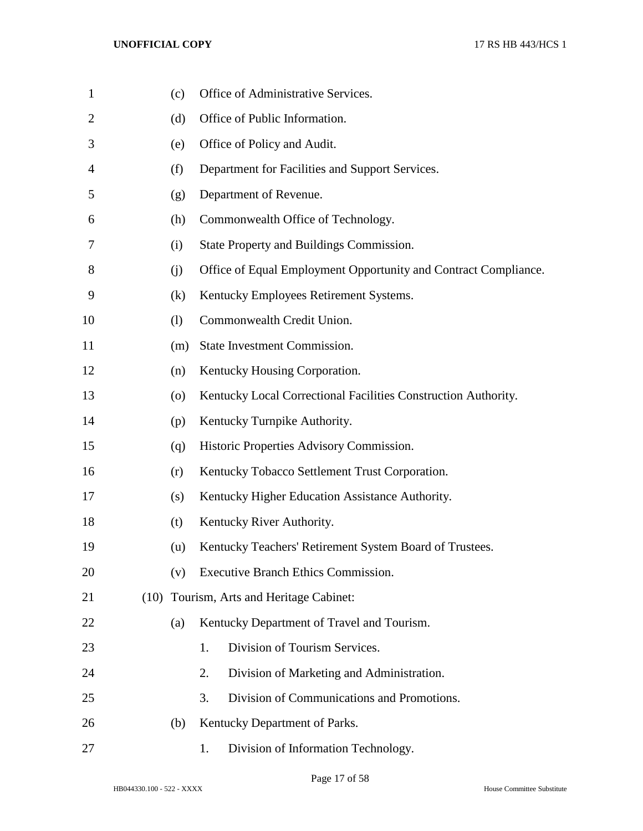| $\mathbf{1}$   | (c) | Office of Administrative Services.                              |
|----------------|-----|-----------------------------------------------------------------|
| $\overline{2}$ | (d) | Office of Public Information.                                   |
| 3              | (e) | Office of Policy and Audit.                                     |
| 4              | (f) | Department for Facilities and Support Services.                 |
| 5              | (g) | Department of Revenue.                                          |
| 6              | (h) | Commonwealth Office of Technology.                              |
| 7              | (i) | State Property and Buildings Commission.                        |
| 8              | (i) | Office of Equal Employment Opportunity and Contract Compliance. |
| 9              | (k) | Kentucky Employees Retirement Systems.                          |
| 10             | (1) | Commonwealth Credit Union.                                      |
| 11             | (m) | State Investment Commission.                                    |
| 12             | (n) | Kentucky Housing Corporation.                                   |
| 13             | (0) | Kentucky Local Correctional Facilities Construction Authority.  |
| 14             | (p) | Kentucky Turnpike Authority.                                    |
| 15             | (q) | Historic Properties Advisory Commission.                        |
| 16             | (r) | Kentucky Tobacco Settlement Trust Corporation.                  |
| 17             | (s) | Kentucky Higher Education Assistance Authority.                 |
| 18             | (t) | Kentucky River Authority.                                       |
| 19             | (u) | Kentucky Teachers' Retirement System Board of Trustees.         |
| 20             | (v) | <b>Executive Branch Ethics Commission.</b>                      |
| 21             |     | (10) Tourism, Arts and Heritage Cabinet:                        |
| 22             | (a) | Kentucky Department of Travel and Tourism.                      |
| 23             |     | Division of Tourism Services.<br>1.                             |
| 24             |     | 2.<br>Division of Marketing and Administration.                 |
| 25             |     | Division of Communications and Promotions.<br>3.                |
| 26             | (b) | Kentucky Department of Parks.                                   |
| 27             |     | Division of Information Technology.<br>1.                       |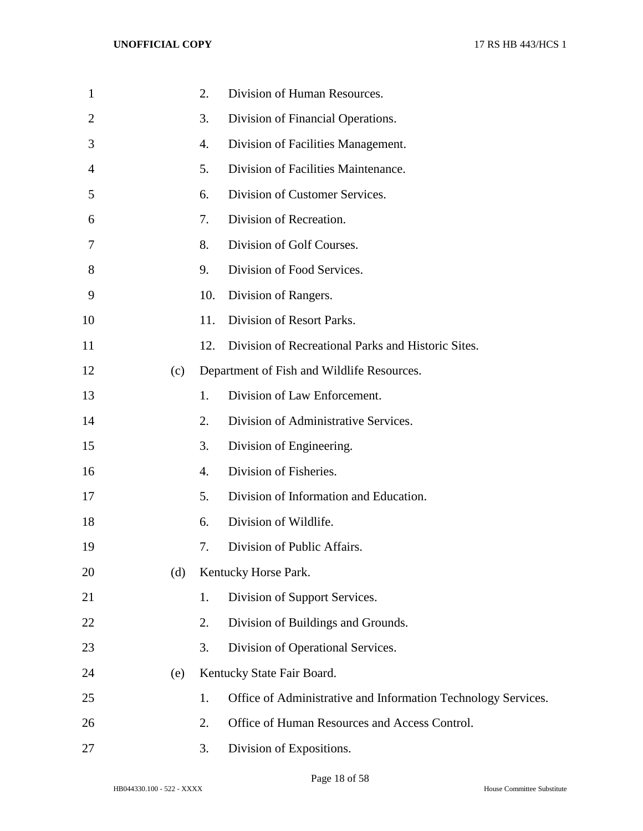| 1              |     | $\overline{2}$ . | Division of Human Resources.                                  |
|----------------|-----|------------------|---------------------------------------------------------------|
| $\overline{2}$ |     | 3.               | Division of Financial Operations.                             |
| 3              |     | 4.               | Division of Facilities Management.                            |
| 4              |     | 5.               | Division of Facilities Maintenance.                           |
| 5              |     | 6.               | Division of Customer Services.                                |
| 6              |     | 7.               | Division of Recreation.                                       |
| 7              |     | 8.               | Division of Golf Courses.                                     |
| 8              |     | 9.               | Division of Food Services.                                    |
| 9              |     | 10.              | Division of Rangers.                                          |
| 10             |     | 11.              | Division of Resort Parks.                                     |
| 11             |     | 12.              | Division of Recreational Parks and Historic Sites.            |
| 12             | (c) |                  | Department of Fish and Wildlife Resources.                    |
| 13             |     | 1.               | Division of Law Enforcement.                                  |
| 14             |     | $\overline{2}$ . | Division of Administrative Services.                          |
| 15             |     | 3.               | Division of Engineering.                                      |
| 16             |     | 4.               | Division of Fisheries.                                        |
| 17             |     | 5.               | Division of Information and Education.                        |
| 18             |     | 6.               | Division of Wildlife.                                         |
| 19             |     | 7.               | Division of Public Affairs.                                   |
| 20             | (d) |                  | Kentucky Horse Park.                                          |
| 21             |     | 1.               | Division of Support Services.                                 |
| 22             |     | 2.               | Division of Buildings and Grounds.                            |
| 23             |     | 3.               | Division of Operational Services.                             |
| 24             | (e) |                  | Kentucky State Fair Board.                                    |
| 25             |     | 1.               | Office of Administrative and Information Technology Services. |
| 26             |     | 2.               | Office of Human Resources and Access Control.                 |
| 27             |     | 3.               | Division of Expositions.                                      |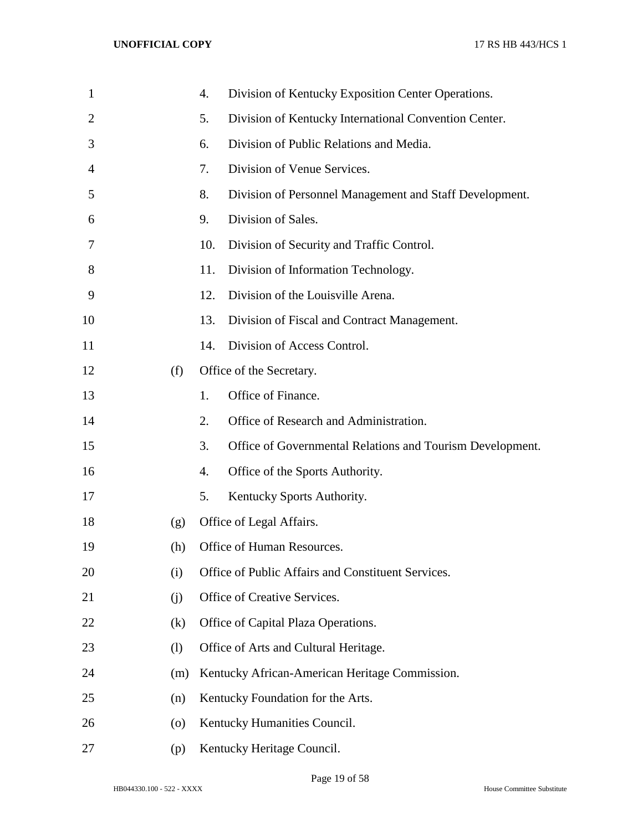| $\mathbf{1}$   |     | 4.  | Division of Kentucky Exposition Center Operations.        |
|----------------|-----|-----|-----------------------------------------------------------|
| $\overline{2}$ |     | 5.  | Division of Kentucky International Convention Center.     |
| 3              |     | 6.  | Division of Public Relations and Media.                   |
| 4              |     | 7.  | Division of Venue Services.                               |
| 5              |     | 8.  | Division of Personnel Management and Staff Development.   |
| 6              |     | 9.  | Division of Sales.                                        |
| 7              |     | 10. | Division of Security and Traffic Control.                 |
| 8              |     | 11. | Division of Information Technology.                       |
| 9              |     | 12. | Division of the Louisville Arena.                         |
| 10             |     | 13. | Division of Fiscal and Contract Management.               |
| 11             |     | 14. | Division of Access Control.                               |
| 12             | (f) |     | Office of the Secretary.                                  |
| 13             |     | 1.  | Office of Finance.                                        |
| 14             |     | 2.  | Office of Research and Administration.                    |
| 15             |     | 3.  | Office of Governmental Relations and Tourism Development. |
| 16             |     | 4.  | Office of the Sports Authority.                           |
| 17             |     | 5.  | Kentucky Sports Authority.                                |
| 18             | (g) |     | Office of Legal Affairs.                                  |
| 19             | (h) |     | Office of Human Resources.                                |
| 20             | (i) |     | Office of Public Affairs and Constituent Services.        |
| 21             | (i) |     | Office of Creative Services.                              |
| 22             | (k) |     | Office of Capital Plaza Operations.                       |
| 23             | (1) |     | Office of Arts and Cultural Heritage.                     |
| 24             | (m) |     | Kentucky African-American Heritage Commission.            |
| 25             | (n) |     | Kentucky Foundation for the Arts.                         |
| 26             | (0) |     | Kentucky Humanities Council.                              |
| 27             | (p) |     | Kentucky Heritage Council.                                |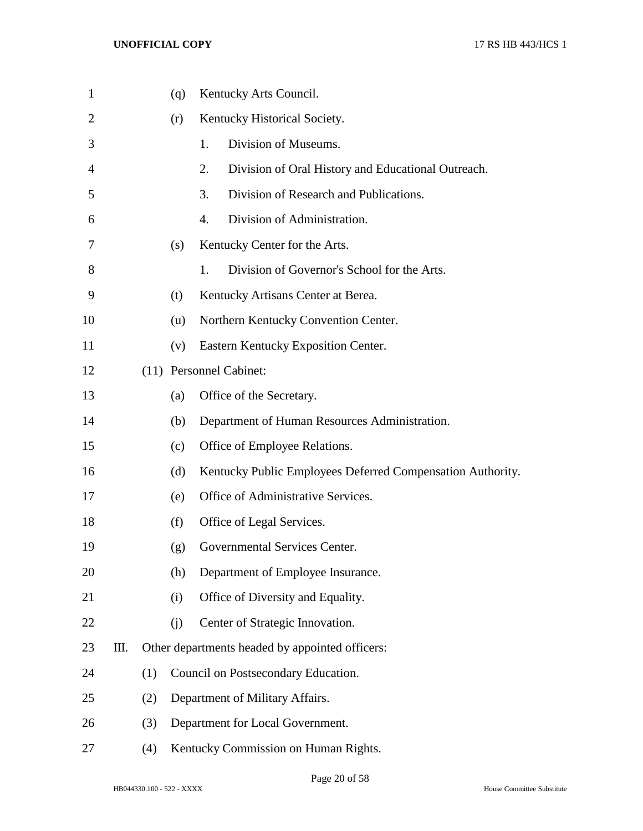| $\mathbf{1}$   |    |     | (q) | Kentucky Arts Council.                                     |
|----------------|----|-----|-----|------------------------------------------------------------|
| $\overline{2}$ |    |     | (r) | Kentucky Historical Society.                               |
| 3              |    |     |     | Division of Museums.<br>1.                                 |
| 4              |    |     |     | 2.<br>Division of Oral History and Educational Outreach.   |
| 5              |    |     |     | 3.<br>Division of Research and Publications.               |
| 6              |    |     |     | Division of Administration.<br>4.                          |
| 7              |    |     | (s) | Kentucky Center for the Arts.                              |
| 8              |    |     |     | Division of Governor's School for the Arts.<br>1.          |
| 9              |    |     | (t) | Kentucky Artisans Center at Berea.                         |
| 10             |    |     | (u) | Northern Kentucky Convention Center.                       |
| 11             |    |     | (v) | Eastern Kentucky Exposition Center.                        |
| 12             |    |     |     | (11) Personnel Cabinet:                                    |
| 13             |    |     | (a) | Office of the Secretary.                                   |
| 14             |    |     | (b) | Department of Human Resources Administration.              |
| 15             |    |     | (c) | Office of Employee Relations.                              |
| 16             |    |     | (d) | Kentucky Public Employees Deferred Compensation Authority. |
| 17             |    |     | (e) | Office of Administrative Services.                         |
| 18             |    |     | (f) | Office of Legal Services.                                  |
| 19             |    |     | (g) | Governmental Services Center.                              |
| 20             |    |     | (h) | Department of Employee Insurance.                          |
| 21             |    |     | (i) | Office of Diversity and Equality.                          |
| 22             |    |     | (j) | Center of Strategic Innovation.                            |
| 23             | Ш. |     |     | Other departments headed by appointed officers:            |
| 24             |    | (1) |     | Council on Postsecondary Education.                        |
| 25             |    | (2) |     | Department of Military Affairs.                            |
| 26             |    | (3) |     | Department for Local Government.                           |
| 27             |    | (4) |     | Kentucky Commission on Human Rights.                       |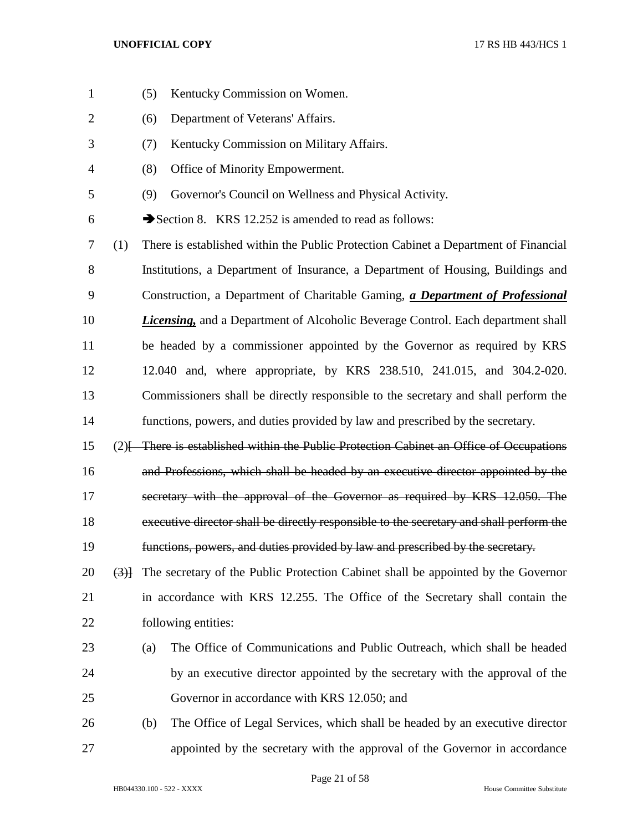- (5) Kentucky Commission on Women.
- (6) Department of Veterans' Affairs.
- (7) Kentucky Commission on Military Affairs.
- (8) Office of Minority Empowerment.
- (9) Governor's Council on Wellness and Physical Activity.
- 6  $\rightarrow$  Section 8. KRS 12.252 is amended to read as follows:

 (1) There is established within the Public Protection Cabinet a Department of Financial Institutions, a Department of Insurance, a Department of Housing, Buildings and Construction, a Department of Charitable Gaming, *a Department of Professional Licensing,* and a Department of Alcoholic Beverage Control. Each department shall be headed by a commissioner appointed by the Governor as required by KRS 12.040 and, where appropriate, by KRS 238.510, 241.015, and 304.2-020. Commissioners shall be directly responsible to the secretary and shall perform the functions, powers, and duties provided by law and prescribed by the secretary.

 (2)[ There is established within the Public Protection Cabinet an Office of Occupations and Professions, which shall be headed by an executive director appointed by the secretary with the approval of the Governor as required by KRS 12.050. The executive director shall be directly responsible to the secretary and shall perform the functions, powers, and duties provided by law and prescribed by the secretary.

 $20 \quad (3)$ } The secretary of the Public Protection Cabinet shall be appointed by the Governor in accordance with KRS 12.255. The Office of the Secretary shall contain the following entities:

- (a) The Office of Communications and Public Outreach, which shall be headed by an executive director appointed by the secretary with the approval of the Governor in accordance with KRS 12.050; and
- (b) The Office of Legal Services, which shall be headed by an executive director appointed by the secretary with the approval of the Governor in accordance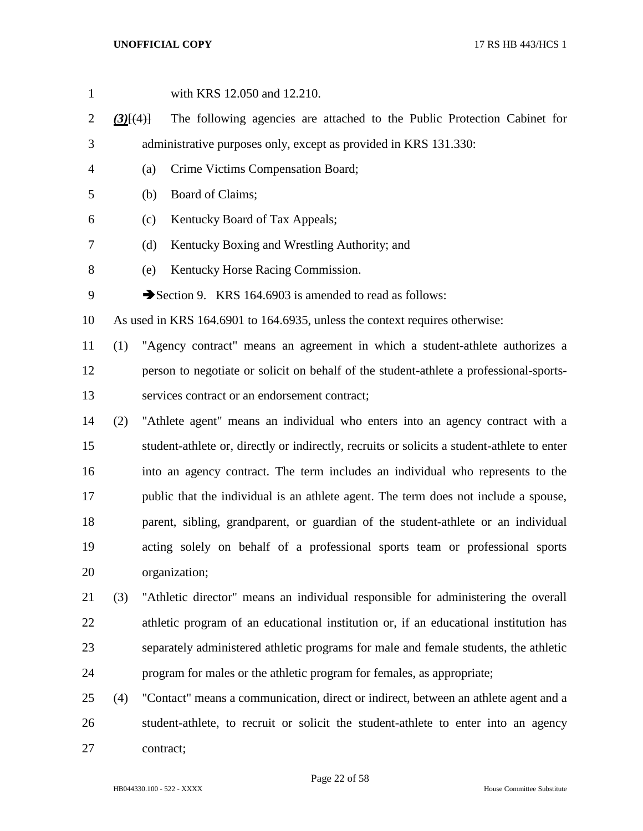| $\mathbf{1}$ |               |           | with KRS 12.050 and 12.210.                                                                 |
|--------------|---------------|-----------|---------------------------------------------------------------------------------------------|
| 2            | $(3)$ $\{4\}$ |           | The following agencies are attached to the Public Protection Cabinet for                    |
| 3            |               |           | administrative purposes only, except as provided in KRS 131.330:                            |
| 4            |               | (a)       | Crime Victims Compensation Board;                                                           |
| 5            |               | (b)       | Board of Claims;                                                                            |
| 6            |               | (c)       | Kentucky Board of Tax Appeals;                                                              |
| 7            |               | (d)       | Kentucky Boxing and Wrestling Authority; and                                                |
| 8            |               | (e)       | Kentucky Horse Racing Commission.                                                           |
| 9            |               |           | Section 9. KRS 164.6903 is amended to read as follows:                                      |
| 10           |               |           | As used in KRS 164.6901 to 164.6935, unless the context requires otherwise:                 |
| 11           | (1)           |           | "Agency contract" means an agreement in which a student-athlete authorizes a                |
| 12           |               |           | person to negotiate or solicit on behalf of the student-athlete a professional-sports-      |
| 13           |               |           | services contract or an endorsement contract;                                               |
| 14           | (2)           |           | "Athlete agent" means an individual who enters into an agency contract with a               |
| 15           |               |           | student-athlete or, directly or indirectly, recruits or solicits a student-athlete to enter |
| 16           |               |           | into an agency contract. The term includes an individual who represents to the              |
| 17           |               |           | public that the individual is an athlete agent. The term does not include a spouse,         |
| 18           |               |           | parent, sibling, grandparent, or guardian of the student-athlete or an individual           |
| 19           |               |           | acting solely on behalf of a professional sports team or professional sports                |
| 20           |               |           | organization;                                                                               |
| 21           | (3)           |           | "Athletic director" means an individual responsible for administering the overall           |
| 22           |               |           | athletic program of an educational institution or, if an educational institution has        |
| 23           |               |           | separately administered athletic programs for male and female students, the athletic        |
| 24           |               |           | program for males or the athletic program for females, as appropriate;                      |
| 25           | (4)           |           | "Contact" means a communication, direct or indirect, between an athlete agent and a         |
| 26           |               |           | student-athlete, to recruit or solicit the student-athlete to enter into an agency          |
| 27           |               | contract; |                                                                                             |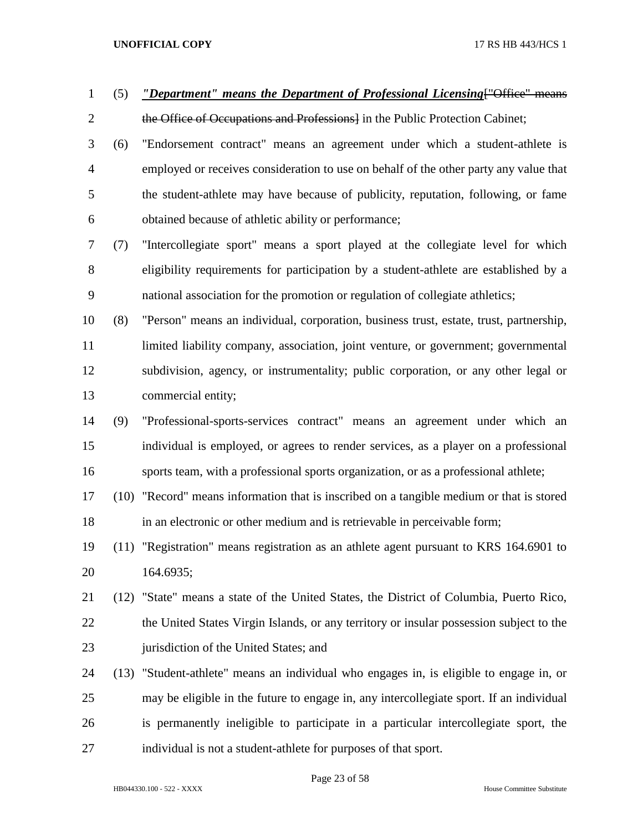# (5) *"Department" means the Department of Professional Licensing*["Office" means 2 the Office of Occupations and Professions<sup>1</sup> in the Public Protection Cabinet;

- (6) "Endorsement contract" means an agreement under which a student-athlete is employed or receives consideration to use on behalf of the other party any value that the student-athlete may have because of publicity, reputation, following, or fame obtained because of athletic ability or performance;
- (7) "Intercollegiate sport" means a sport played at the collegiate level for which eligibility requirements for participation by a student-athlete are established by a national association for the promotion or regulation of collegiate athletics;
- (8) "Person" means an individual, corporation, business trust, estate, trust, partnership, limited liability company, association, joint venture, or government; governmental subdivision, agency, or instrumentality; public corporation, or any other legal or commercial entity;
- (9) "Professional-sports-services contract" means an agreement under which an individual is employed, or agrees to render services, as a player on a professional sports team, with a professional sports organization, or as a professional athlete;
- (10) "Record" means information that is inscribed on a tangible medium or that is stored in an electronic or other medium and is retrievable in perceivable form;
- (11) "Registration" means registration as an athlete agent pursuant to KRS 164.6901 to 164.6935;
- (12) "State" means a state of the United States, the District of Columbia, Puerto Rico, 22 the United States Virgin Islands, or any territory or insular possession subject to the **jurisdiction of the United States; and**
- (13) "Student-athlete" means an individual who engages in, is eligible to engage in, or may be eligible in the future to engage in, any intercollegiate sport. If an individual is permanently ineligible to participate in a particular intercollegiate sport, the individual is not a student-athlete for purposes of that sport.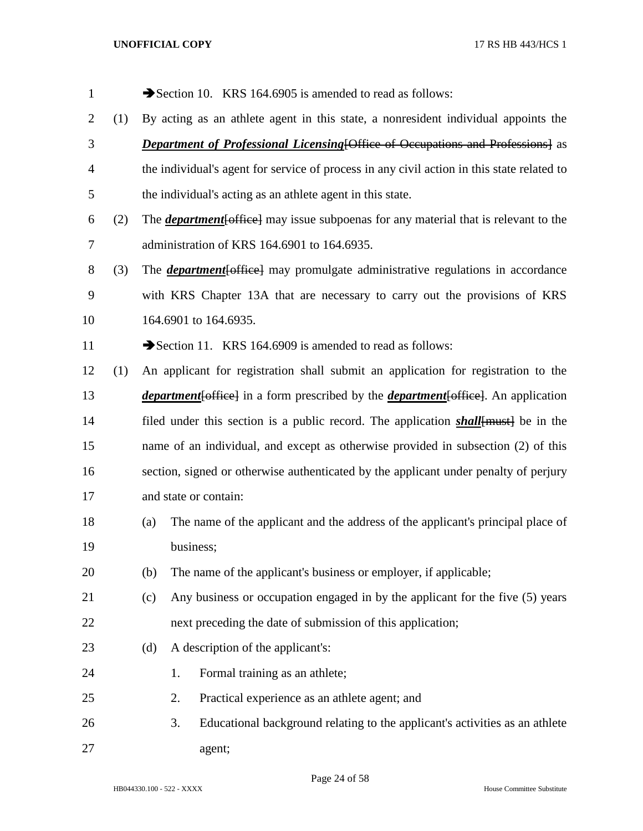| $\mathbf{1}$   |     |     | Section 10. KRS 164.6905 is amended to read as follows:                                           |
|----------------|-----|-----|---------------------------------------------------------------------------------------------------|
| $\overline{2}$ | (1) |     | By acting as an athlete agent in this state, a nonresident individual appoints the                |
| 3              |     |     | <b>Department of Professional Licensing [Office of Occupations and Professions]</b> as            |
| 4              |     |     | the individual's agent for service of process in any civil action in this state related to        |
| 5              |     |     | the individual's acting as an athlete agent in this state.                                        |
| 6              | (2) |     | The <i>department</i> [office] may issue subpoenas for any material that is relevant to the       |
| 7              |     |     | administration of KRS 164.6901 to 164.6935.                                                       |
| 8              | (3) |     | The <i>department</i> [office] may promulgate administrative regulations in accordance            |
| 9              |     |     | with KRS Chapter 13A that are necessary to carry out the provisions of KRS                        |
| 10             |     |     | 164.6901 to 164.6935.                                                                             |
| 11             |     |     | Section 11. KRS 164.6909 is amended to read as follows:                                           |
| 12             | (1) |     | An applicant for registration shall submit an application for registration to the                 |
| 13             |     |     | <i>department</i> [office] in a form prescribed by the <i>department</i> [office]. An application |
| 14             |     |     | filed under this section is a public record. The application <i>shall</i> [must] be in the        |
| 15             |     |     | name of an individual, and except as otherwise provided in subsection (2) of this                 |
| 16             |     |     | section, signed or otherwise authenticated by the applicant under penalty of perjury              |
| 17             |     |     | and state or contain:                                                                             |
| 18             |     | (a) | The name of the applicant and the address of the applicant's principal place of                   |
| 19             |     |     | business;                                                                                         |
| 20             |     | (b) | The name of the applicant's business or employer, if applicable;                                  |
| 21             |     | (c) | Any business or occupation engaged in by the applicant for the five (5) years                     |
| 22             |     |     | next preceding the date of submission of this application;                                        |
| 23             |     | (d) | A description of the applicant's:                                                                 |
| 24             |     |     | Formal training as an athlete;<br>1.                                                              |
| 25             |     |     | Practical experience as an athlete agent; and<br>2.                                               |
| 26             |     |     | 3.<br>Educational background relating to the applicant's activities as an athlete                 |
| 27             |     |     | agent;                                                                                            |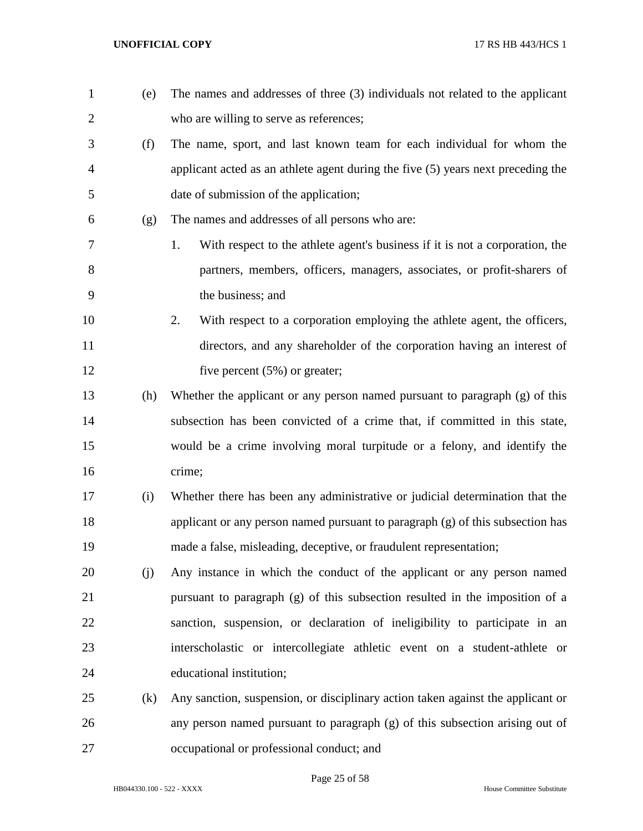| $\mathbf{1}$   | (e) | The names and addresses of three (3) individuals not related to the applicant      |
|----------------|-----|------------------------------------------------------------------------------------|
| $\overline{2}$ |     | who are willing to serve as references;                                            |
| 3              | (f) | The name, sport, and last known team for each individual for whom the              |
| $\overline{4}$ |     | applicant acted as an athlete agent during the five (5) years next preceding the   |
| 5              |     | date of submission of the application;                                             |
| 6              | (g) | The names and addresses of all persons who are:                                    |
| 7              |     | With respect to the athlete agent's business if it is not a corporation, the<br>1. |
| 8              |     | partners, members, officers, managers, associates, or profit-sharers of            |
| 9              |     | the business; and                                                                  |
| 10             |     | With respect to a corporation employing the athlete agent, the officers,<br>2.     |
| 11             |     | directors, and any shareholder of the corporation having an interest of            |
| 12             |     | five percent $(5\%)$ or greater;                                                   |
| 13             | (h) | Whether the applicant or any person named pursuant to paragraph (g) of this        |
| 14             |     | subsection has been convicted of a crime that, if committed in this state,         |
| 15             |     | would be a crime involving moral turpitude or a felony, and identify the           |
| 16             |     | crime;                                                                             |
| 17             | (i) | Whether there has been any administrative or judicial determination that the       |
| 18             |     | applicant or any person named pursuant to paragraph $(g)$ of this subsection has   |
| 19             |     | made a false, misleading, deceptive, or fraudulent representation;                 |
| 20             | (i) | Any instance in which the conduct of the applicant or any person named             |
| 21             |     | pursuant to paragraph (g) of this subsection resulted in the imposition of a       |
| 22             |     | sanction, suspension, or declaration of ineligibility to participate in an         |
| 23             |     | interscholastic or intercollegiate athletic event on a student-athlete or          |
| 24             |     | educational institution;                                                           |
| 25             | (k) | Any sanction, suspension, or disciplinary action taken against the applicant or    |
| 26             |     | any person named pursuant to paragraph (g) of this subsection arising out of       |
| 27             |     | occupational or professional conduct; and                                          |

Page 25 of 58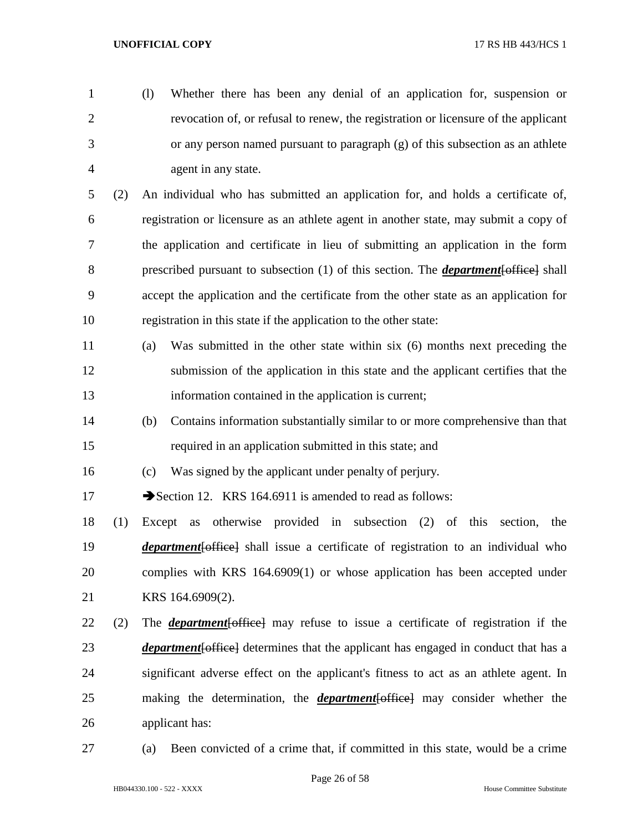(l) Whether there has been any denial of an application for, suspension or revocation of, or refusal to renew, the registration or licensure of the applicant or any person named pursuant to paragraph (g) of this subsection as an athlete agent in any state. (2) An individual who has submitted an application for, and holds a certificate of, registration or licensure as an athlete agent in another state, may submit a copy of the application and certificate in lieu of submitting an application in the form prescribed pursuant to subsection (1) of this section. The *department*[office] shall accept the application and the certificate from the other state as an application for registration in this state if the application to the other state: (a) Was submitted in the other state within six (6) months next preceding the submission of the application in this state and the applicant certifies that the information contained in the application is current; (b) Contains information substantially similar to or more comprehensive than that required in an application submitted in this state; and

(c) Was signed by the applicant under penalty of perjury.

17 Section 12. KRS 164.6911 is amended to read as follows:

 (1) Except as otherwise provided in subsection (2) of this section, the *department* { $\leftarrow$  detail issue a certificate of registration to an individual who complies with KRS 164.6909(1) or whose application has been accepted under KRS 164.6909(2).

# (2) The *department*[office] may refuse to issue a certificate of registration if the *department* of fice determines that the applicant has engaged in conduct that has a significant adverse effect on the applicant's fitness to act as an athlete agent. In making the determination, the *department*[office] may consider whether the applicant has:

(a) Been convicted of a crime that, if committed in this state, would be a crime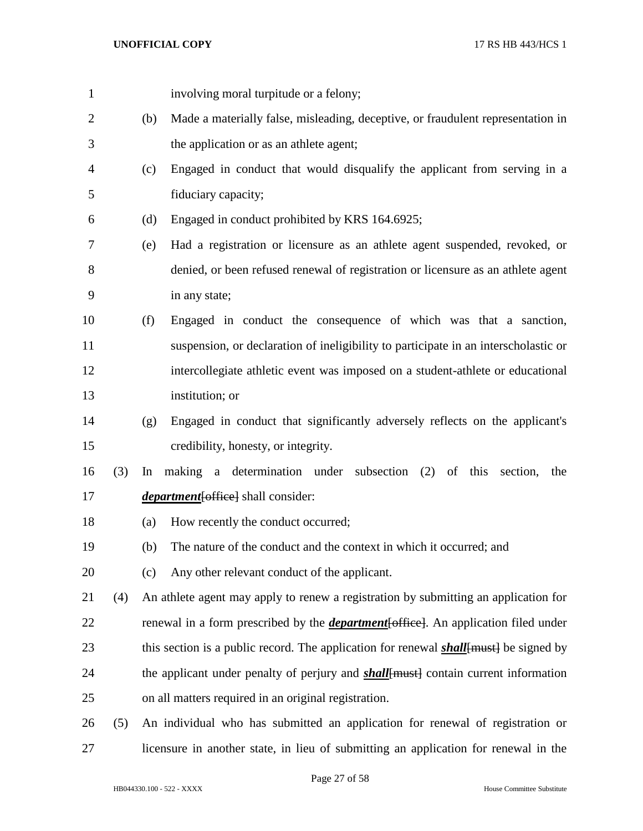involving moral turpitude or a felony; (b) Made a materially false, misleading, deceptive, or fraudulent representation in the application or as an athlete agent; (c) Engaged in conduct that would disqualify the applicant from serving in a fiduciary capacity; (d) Engaged in conduct prohibited by KRS 164.6925; (e) Had a registration or licensure as an athlete agent suspended, revoked, or denied, or been refused renewal of registration or licensure as an athlete agent in any state; (f) Engaged in conduct the consequence of which was that a sanction, suspension, or declaration of ineligibility to participate in an interscholastic or intercollegiate athletic event was imposed on a student-athlete or educational institution; or (g) Engaged in conduct that significantly adversely reflects on the applicant's credibility, honesty, or integrity. (3) In making a determination under subsection (2) of this section, the *department* for the shall consider: (a) How recently the conduct occurred; (b) The nature of the conduct and the context in which it occurred; and (c) Any other relevant conduct of the applicant. (4) An athlete agent may apply to renew a registration by submitting an application for renewal in a form prescribed by the *department*[office]. An application filed under 23 this section is a public record. The application for renewal *shall*{must} be signed by 24 the applicant under penalty of perjury and *shall*[must] contain current information on all matters required in an original registration. (5) An individual who has submitted an application for renewal of registration or licensure in another state, in lieu of submitting an application for renewal in the

Page 27 of 58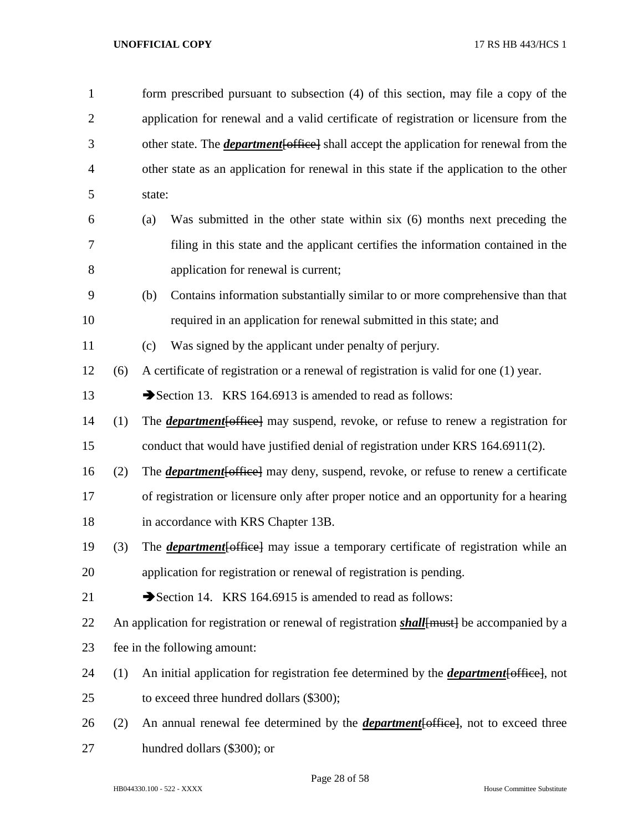| $\mathbf{1}$   |     | form prescribed pursuant to subsection (4) of this section, may file a copy of the                 |
|----------------|-----|----------------------------------------------------------------------------------------------------|
| $\mathbf{2}$   |     | application for renewal and a valid certificate of registration or licensure from the              |
| 3              |     | other state. The <i>department</i> [office] shall accept the application for renewal from the      |
| $\overline{4}$ |     | other state as an application for renewal in this state if the application to the other            |
| 5              |     | state:                                                                                             |
| 6              |     | Was submitted in the other state within six (6) months next preceding the<br>(a)                   |
| 7              |     | filing in this state and the applicant certifies the information contained in the                  |
| 8              |     | application for renewal is current;                                                                |
| 9              |     | Contains information substantially similar to or more comprehensive than that<br>(b)               |
| 10             |     | required in an application for renewal submitted in this state; and                                |
| 11             |     | Was signed by the applicant under penalty of perjury.<br>(c)                                       |
| 12             | (6) | A certificate of registration or a renewal of registration is valid for one (1) year.              |
| 13             |     | Section 13. KRS 164.6913 is amended to read as follows:                                            |
| 14             | (1) | The <i>department</i> [office] may suspend, revoke, or refuse to renew a registration for          |
| 15             |     | conduct that would have justified denial of registration under KRS 164.6911(2).                    |
| 16             | (2) | The <b><i>department</i></b> [office] may deny, suspend, revoke, or refuse to renew a certificate  |
| 17             |     | of registration or licensure only after proper notice and an opportunity for a hearing             |
| 18             |     | in accordance with KRS Chapter 13B.                                                                |
| 19             | (3) | The <i>department</i> [office] may issue a temporary certificate of registration while an          |
| 20             |     | application for registration or renewal of registration is pending.                                |
| 21             |     | Section 14. KRS 164.6915 is amended to read as follows:                                            |
| 22             |     | An application for registration or renewal of registration <i>shall</i> [must] be accompanied by a |
| 23             |     | fee in the following amount:                                                                       |
| 24             | (1) | An initial application for registration fee determined by the <i>department</i> [office], not      |
| 25             |     | to exceed three hundred dollars (\$300);                                                           |
| 26             | (2) | An annual renewal fee determined by the <i>department</i> [office], not to exceed three            |
| 27             |     | hundred dollars (\$300); or                                                                        |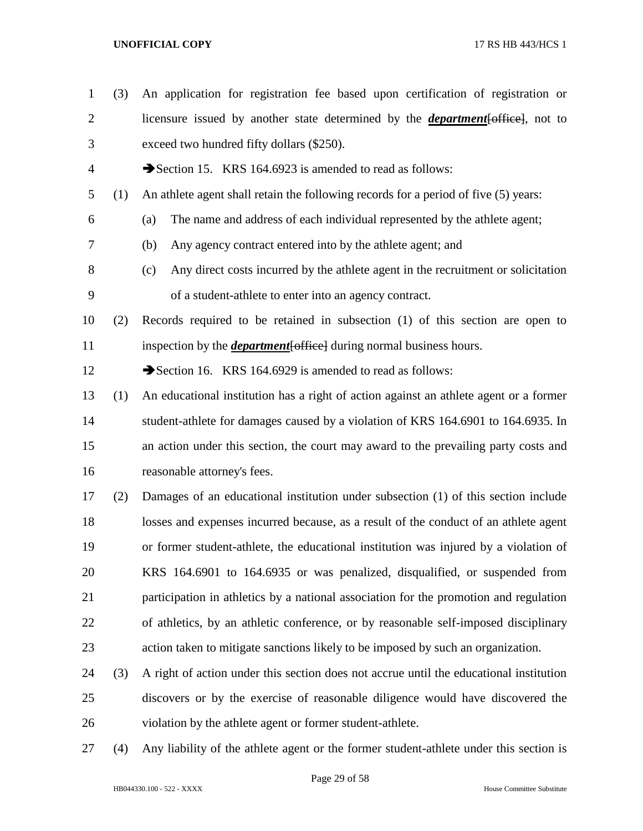| $\mathbf{1}$   | (3) | An application for registration fee based upon certification of registration or          |
|----------------|-----|------------------------------------------------------------------------------------------|
| $\overline{2}$ |     | licensure issued by another state determined by the <i>department</i> [office], not to   |
| 3              |     | exceed two hundred fifty dollars (\$250).                                                |
| 4              |     | Section 15. KRS 164.6923 is amended to read as follows:                                  |
| 5              | (1) | An athlete agent shall retain the following records for a period of five (5) years:      |
| 6              |     | The name and address of each individual represented by the athlete agent;<br>(a)         |
| 7              |     | Any agency contract entered into by the athlete agent; and<br>(b)                        |
| 8              |     | Any direct costs incurred by the athlete agent in the recruitment or solicitation<br>(c) |
| 9              |     | of a student-athlete to enter into an agency contract.                                   |
| 10             | (2) | Records required to be retained in subsection (1) of this section are open to            |
| 11             |     | inspection by the <i>department</i> [office] during normal business hours.               |
| 12             |     | Section 16. KRS 164.6929 is amended to read as follows:                                  |
| 13             | (1) | An educational institution has a right of action against an athlete agent or a former    |
| 14             |     | student-athlete for damages caused by a violation of KRS 164.6901 to 164.6935. In        |
| 15             |     | an action under this section, the court may award to the prevailing party costs and      |
| 16             |     | reasonable attorney's fees.                                                              |
| 17             | (2) | Damages of an educational institution under subsection (1) of this section include       |
| 18             |     | losses and expenses incurred because, as a result of the conduct of an athlete agent     |
| 19             |     | or former student-athlete, the educational institution was injured by a violation of     |
| 20             |     | KRS 164.6901 to 164.6935 or was penalized, disqualified, or suspended from               |
| 21             |     | participation in athletics by a national association for the promotion and regulation    |
| 22             |     | of athletics, by an athletic conference, or by reasonable self-imposed disciplinary      |
| 23             |     | action taken to mitigate sanctions likely to be imposed by such an organization.         |
| 24             | (3) | A right of action under this section does not accrue until the educational institution   |
| 25             |     | discovers or by the exercise of reasonable diligence would have discovered the           |
| 26             |     | violation by the athlete agent or former student-athlete.                                |
|                |     |                                                                                          |

(4) Any liability of the athlete agent or the former student-athlete under this section is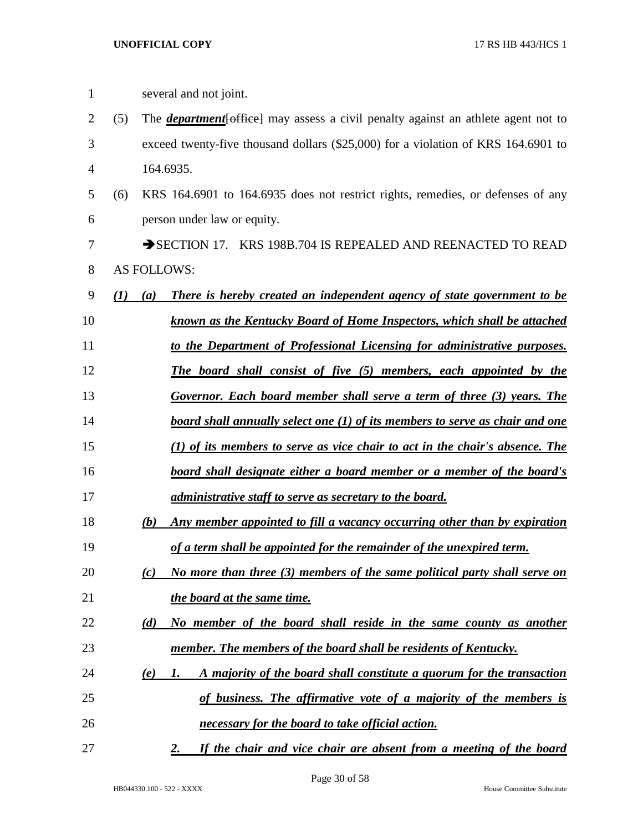several and not joint. (5) The *department*[office] may assess a civil penalty against an athlete agent not to exceed twenty-five thousand dollars (\$25,000) for a violation of KRS 164.6901 to 164.6935. (6) KRS 164.6901 to 164.6935 does not restrict rights, remedies, or defenses of any person under law or equity. **3 SECTION 17. KRS 198B.704 IS REPEALED AND REENACTED TO READ**  AS FOLLOWS: *(1) (a) There is hereby created an independent agency of state government to be known as the Kentucky Board of Home Inspectors, which shall be attached to the Department of Professional Licensing for administrative purposes. The board shall consist of five (5) members, each appointed by the Governor. Each board member shall serve a term of three (3) years. The board shall annually select one (1) of its members to serve as chair and one (1) of its members to serve as vice chair to act in the chair's absence. The board shall designate either a board member or a member of the board's administrative staff to serve as secretary to the board. (b) Any member appointed to fill a vacancy occurring other than by expiration of a term shall be appointed for the remainder of the unexpired term. (c) No more than three (3) members of the same political party shall serve on the board at the same time. (d) No member of the board shall reside in the same county as another member. The members of the board shall be residents of Kentucky. (e) 1. A majority of the board shall constitute a quorum for the transaction of business. The affirmative vote of a majority of the members is necessary for the board to take official action. 2. If the chair and vice chair are absent from a meeting of the board*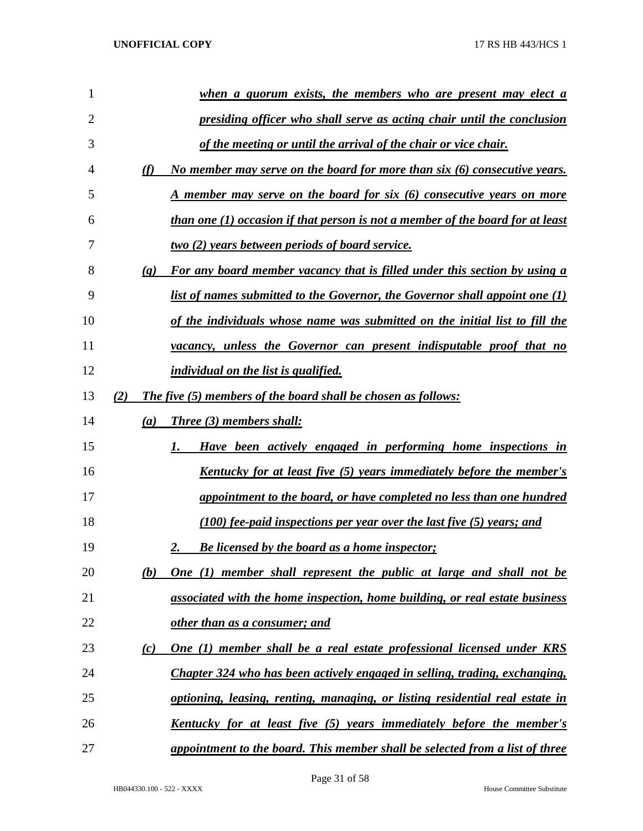| 1  | when a quorum exists, the members who are present may elect a                                            |
|----|----------------------------------------------------------------------------------------------------------|
| 2  | presiding officer who shall serve as acting chair until the conclusion                                   |
| 3  | of the meeting or until the arrival of the chair or vice chair.                                          |
| 4  | No member may serve on the board for more than six (6) consecutive years.<br>(f)                         |
| 5  | A member may serve on the board for six (6) consecutive years on more                                    |
| 6  | than one (1) occasion if that person is not a member of the board for at least                           |
| 7  | <u>two (2) years between periods of board service.</u>                                                   |
| 8  | For any board member vacancy that is filled under this section by using a<br>$\left( \mathbf{g} \right)$ |
| 9  | list of names submitted to the Governor, the Governor shall appoint one $(1)$                            |
| 10 | of the individuals whose name was submitted on the initial list to fill the                              |
| 11 | vacancy, unless the Governor can present indisputable proof that no                                      |
| 12 | <i>individual on the list is qualified.</i>                                                              |
| 13 | The five (5) members of the board shall be chosen as follows:<br>(2)                                     |
| 14 | <b>Three (3) members shall:</b><br>(a)                                                                   |
| 15 | Have been actively engaged in performing home inspections in                                             |
| 16 | <u>Kentucky for at least five (5) years immediately before the member's</u>                              |
| 17 | appointment to the board, or have completed no less than one hundred                                     |
| 18 | $(100)$ fee-paid inspections per year over the last five $(5)$ years; and                                |
| 19 | <b>Be licensed by the board as a home inspector;</b><br>2.                                               |
| 20 | One (1) member shall represent the public at large and shall not be<br>(b)                               |
| 21 | associated with the home inspection, home building, or real estate business                              |
| 22 | other than as a consumer; and                                                                            |
| 23 | One (1) member shall be a real estate professional licensed under KRS<br>(c)                             |
| 24 | Chapter 324 who has been actively engaged in selling, trading, exchanging,                               |
| 25 | optioning, leasing, renting, managing, or listing residential real estate in                             |
| 26 | <u>Kentucky for at least five (5) years immediately before the member's</u>                              |
| 27 | appointment to the board. This member shall be selected from a list of three                             |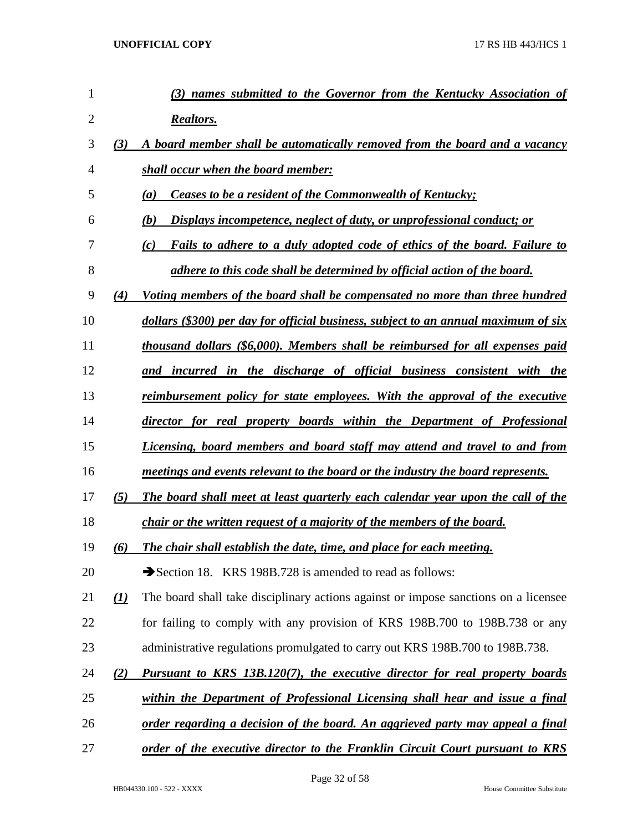| 1              |                                | (3)<br>names submitted to the Governor from the Kentucky Association of               |
|----------------|--------------------------------|---------------------------------------------------------------------------------------|
| $\overline{2}$ |                                | Realtors.                                                                             |
| 3              | (3)                            | A board member shall be automatically removed from the board and a vacancy            |
| 4              |                                | shall occur when the board member:                                                    |
| 5              |                                | Ceases to be a resident of the Commonwealth of Kentucky;<br>(a)                       |
| 6              |                                | Displays incompetence, neglect of duty, or unprofessional conduct; or<br>(b)          |
| 7              |                                | Fails to adhere to a duly adopted code of ethics of the board. Failure to<br>(c)      |
| 8              |                                | adhere to this code shall be determined by official action of the board.              |
| 9              | (4)                            | Voting members of the board shall be compensated no more than three hundred           |
| 10             |                                | dollars (\$300) per day for official business, subject to an annual maximum of six    |
| 11             |                                | thousand dollars (\$6,000). Members shall be reimbursed for all expenses paid         |
| 12             |                                | and incurred in the discharge of official business consistent with the                |
| 13             |                                | reimbursement policy for state employees. With the approval of the executive          |
| 14             |                                | director for real property boards within the Department of Professional               |
| 15             |                                | Licensing, board members and board staff may attend and travel to and from            |
| 16             |                                | meetings and events relevant to the board or the industry the board represents.       |
| 17             | (5)                            | The board shall meet at least quarterly each calendar year upon the call of the       |
| 18             |                                | chair or the written request of a majority of the members of the board.               |
| 19             | (6)                            | The chair shall establish the date, time, and place for each meeting.                 |
| 20             |                                | Section 18. KRS 198B.728 is amended to read as follows:                               |
| 21             | $\left( \underline{I} \right)$ | The board shall take disciplinary actions against or impose sanctions on a licensee   |
| 22             |                                | for failing to comply with any provision of KRS 198B.700 to 198B.738 or any           |
| 23             |                                | administrative regulations promulgated to carry out KRS 198B.700 to 198B.738.         |
| 24             | (2)                            | Pursuant to KRS 13B.120(7), the executive director for real property boards           |
| 25             |                                | within the Department of Professional Licensing shall hear and issue a final          |
| 26             |                                | <u>order regarding a decision of the board. An aggrieved party may appeal a final</u> |
| 27             |                                | order of the executive director to the Franklin Circuit Court pursuant to KRS         |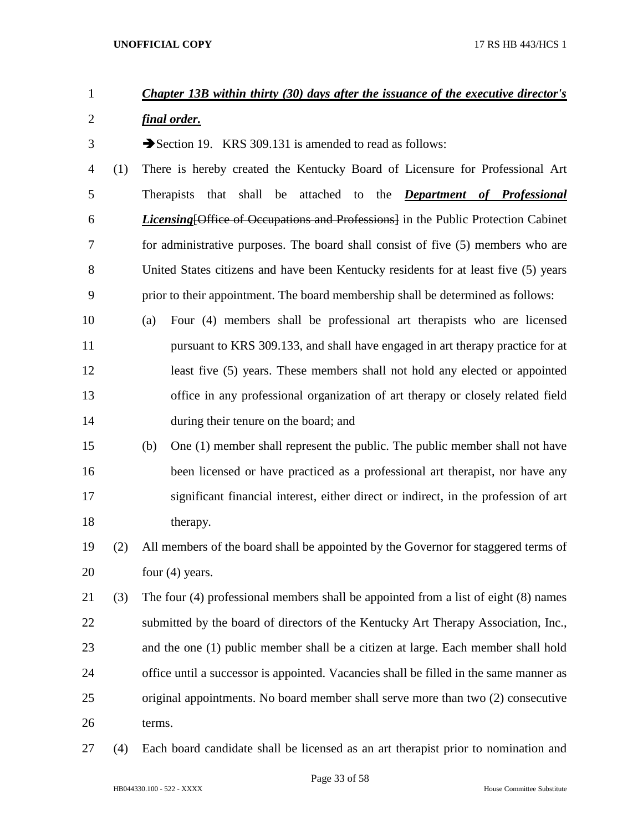# *Chapter 13B within thirty (30) days after the issuance of the executive director's*

*final order.*

3 Section 19. KRS 309.131 is amended to read as follows:

- (1) There is hereby created the Kentucky Board of Licensure for Professional Art Therapists that shall be attached to the *Department of Professional Licensing*[Office of Occupations and Professions] in the Public Protection Cabinet for administrative purposes. The board shall consist of five (5) members who are United States citizens and have been Kentucky residents for at least five (5) years prior to their appointment. The board membership shall be determined as follows:
- (a) Four (4) members shall be professional art therapists who are licensed pursuant to KRS 309.133, and shall have engaged in art therapy practice for at least five (5) years. These members shall not hold any elected or appointed office in any professional organization of art therapy or closely related field during their tenure on the board; and
- (b) One (1) member shall represent the public. The public member shall not have been licensed or have practiced as a professional art therapist, nor have any significant financial interest, either direct or indirect, in the profession of art 18 therapy.
- (2) All members of the board shall be appointed by the Governor for staggered terms of 20 four (4) years.
- (3) The four (4) professional members shall be appointed from a list of eight (8) names submitted by the board of directors of the Kentucky Art Therapy Association, Inc., and the one (1) public member shall be a citizen at large. Each member shall hold office until a successor is appointed. Vacancies shall be filled in the same manner as original appointments. No board member shall serve more than two (2) consecutive terms.
- (4) Each board candidate shall be licensed as an art therapist prior to nomination and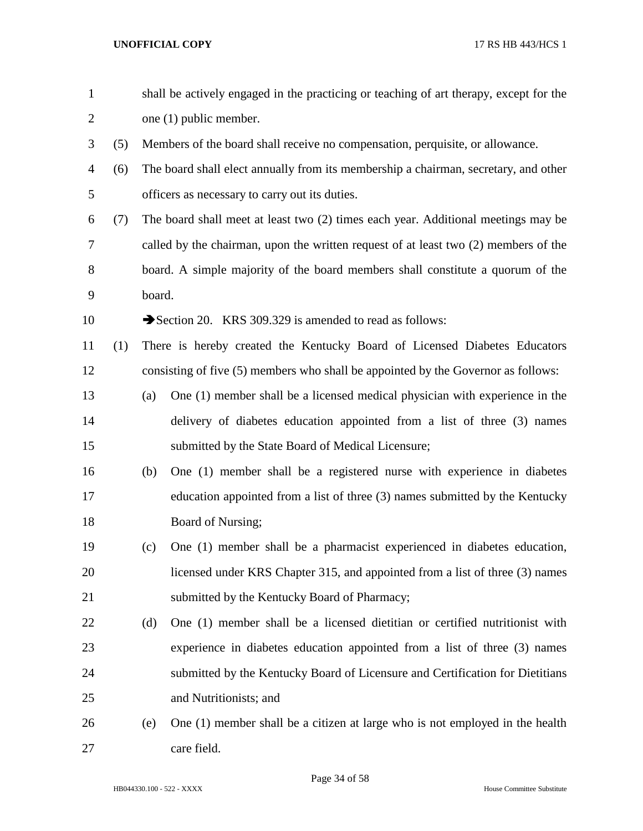| $\mathbf{1}$   |     |        | shall be actively engaged in the practicing or teaching of art therapy, except for the |
|----------------|-----|--------|----------------------------------------------------------------------------------------|
| $\overline{2}$ |     |        | one (1) public member.                                                                 |
| 3              | (5) |        | Members of the board shall receive no compensation, perquisite, or allowance.          |
| $\overline{4}$ | (6) |        | The board shall elect annually from its membership a chairman, secretary, and other    |
| 5              |     |        | officers as necessary to carry out its duties.                                         |
| 6              | (7) |        | The board shall meet at least two (2) times each year. Additional meetings may be      |
| 7              |     |        | called by the chairman, upon the written request of at least two (2) members of the    |
| 8              |     |        | board. A simple majority of the board members shall constitute a quorum of the         |
| 9              |     | board. |                                                                                        |
| 10             |     |        | Section 20. KRS 309.329 is amended to read as follows:                                 |
| 11             | (1) |        | There is hereby created the Kentucky Board of Licensed Diabetes Educators              |
| 12             |     |        | consisting of five (5) members who shall be appointed by the Governor as follows:      |
| 13             |     | (a)    | One (1) member shall be a licensed medical physician with experience in the            |
| 14             |     |        | delivery of diabetes education appointed from a list of three (3) names                |
| 15             |     |        | submitted by the State Board of Medical Licensure;                                     |
| 16             |     | (b)    | One (1) member shall be a registered nurse with experience in diabetes                 |
| 17             |     |        | education appointed from a list of three (3) names submitted by the Kentucky           |
| 18             |     |        | Board of Nursing;                                                                      |
| 19             |     | (c)    | One (1) member shall be a pharmacist experienced in diabetes education,                |
| 20             |     |        | licensed under KRS Chapter 315, and appointed from a list of three (3) names           |
| 21             |     |        | submitted by the Kentucky Board of Pharmacy;                                           |
| 22             |     | (d)    | One (1) member shall be a licensed dietitian or certified nutritionist with            |
| 23             |     |        | experience in diabetes education appointed from a list of three (3) names              |
| 24             |     |        | submitted by the Kentucky Board of Licensure and Certification for Dietitians          |
| 25             |     |        | and Nutritionists; and                                                                 |
| 26             |     | (e)    | One (1) member shall be a citizen at large who is not employed in the health           |
| 27             |     |        | care field.                                                                            |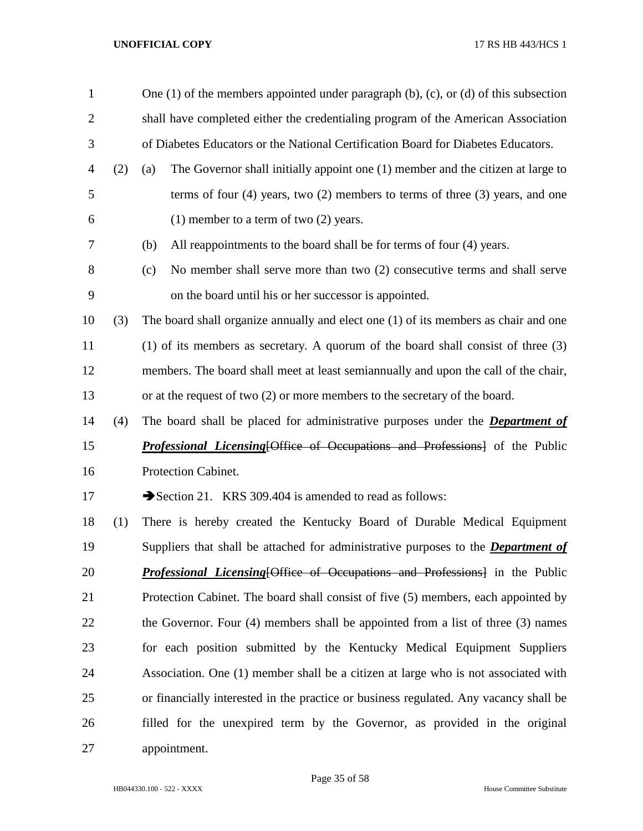| $\mathbf{1}$   |     | One $(1)$ of the members appointed under paragraph $(b)$ , $(c)$ , or $(d)$ of this subsection |
|----------------|-----|------------------------------------------------------------------------------------------------|
| $\overline{2}$ |     | shall have completed either the credentialing program of the American Association              |
| 3              |     | of Diabetes Educators or the National Certification Board for Diabetes Educators.              |
| 4              | (2) | The Governor shall initially appoint one (1) member and the citizen at large to<br>(a)         |
| 5              |     | terms of four $(4)$ years, two $(2)$ members to terms of three $(3)$ years, and one            |
| 6              |     | $(1)$ member to a term of two $(2)$ years.                                                     |
| 7              |     | All reappointments to the board shall be for terms of four (4) years.<br>(b)                   |
| 8              |     | No member shall serve more than two (2) consecutive terms and shall serve<br>(c)               |
| 9              |     | on the board until his or her successor is appointed.                                          |
| 10             | (3) | The board shall organize annually and elect one $(1)$ of its members as chair and one          |
| 11             |     | $(1)$ of its members as secretary. A quorum of the board shall consist of three $(3)$          |
| 12             |     | members. The board shall meet at least semiannually and upon the call of the chair,            |
| 13             |     | or at the request of two $(2)$ or more members to the secretary of the board.                  |
| 14             | (4) | The board shall be placed for administrative purposes under the <i>Department of</i>           |
| 15             |     | <b>Professional Licensing [Office of Occupations and Professions]</b> of the Public            |
| 16             |     | Protection Cabinet.                                                                            |
| 17             |     | Section 21. KRS 309.404 is amended to read as follows:                                         |
| 18             | (1) | There is hereby created the Kentucky Board of Durable Medical Equipment                        |
| 19             |     | Suppliers that shall be attached for administrative purposes to the <b>Department of</b>       |
| 20             |     | <b>Professional Licensing Office of Occupations and Professions</b> in the Public              |
| 21             |     | Protection Cabinet. The board shall consist of five (5) members, each appointed by             |
| 22             |     | the Governor. Four (4) members shall be appointed from a list of three (3) names               |
| 23             |     | for each position submitted by the Kentucky Medical Equipment Suppliers                        |
| 24             |     | Association. One (1) member shall be a citizen at large who is not associated with             |
| 25             |     | or financially interested in the practice or business regulated. Any vacancy shall be          |
| 26             |     | filled for the unexpired term by the Governor, as provided in the original                     |
| 27             |     | appointment.                                                                                   |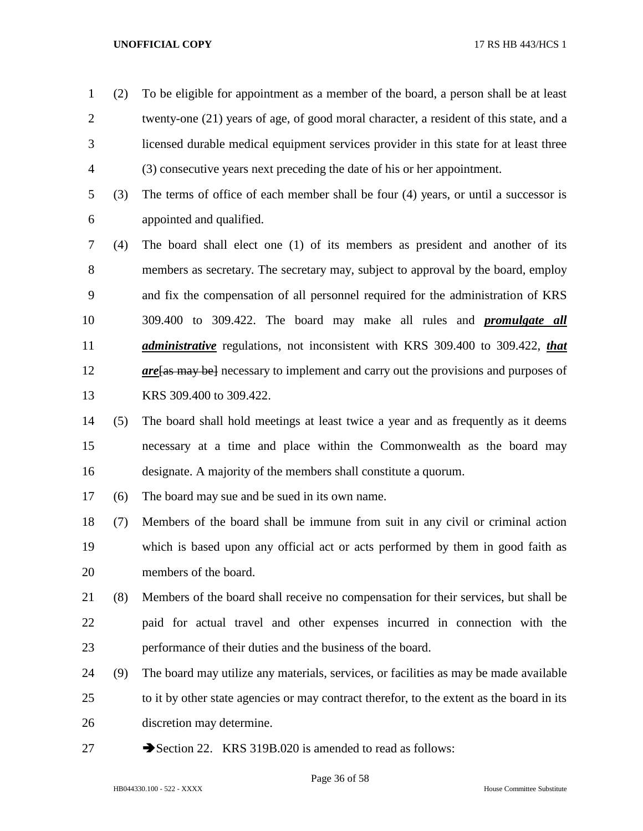- (2) To be eligible for appointment as a member of the board, a person shall be at least twenty-one (21) years of age, of good moral character, a resident of this state, and a licensed durable medical equipment services provider in this state for at least three (3) consecutive years next preceding the date of his or her appointment.
- (3) The terms of office of each member shall be four (4) years, or until a successor is appointed and qualified.
- (4) The board shall elect one (1) of its members as president and another of its members as secretary. The secretary may, subject to approval by the board, employ and fix the compensation of all personnel required for the administration of KRS 309.400 to 309.422. The board may make all rules and *promulgate all administrative* regulations, not inconsistent with KRS 309.400 to 309.422, *that are* [as may be] necessary to implement and carry out the provisions and purposes of KRS 309.400 to 309.422.
- (5) The board shall hold meetings at least twice a year and as frequently as it deems necessary at a time and place within the Commonwealth as the board may designate. A majority of the members shall constitute a quorum.
- (6) The board may sue and be sued in its own name.
- (7) Members of the board shall be immune from suit in any civil or criminal action which is based upon any official act or acts performed by them in good faith as members of the board.
- (8) Members of the board shall receive no compensation for their services, but shall be paid for actual travel and other expenses incurred in connection with the performance of their duties and the business of the board.
- (9) The board may utilize any materials, services, or facilities as may be made available to it by other state agencies or may contract therefor, to the extent as the board in its discretion may determine.
- 27 Section 22. KRS 319B.020 is amended to read as follows: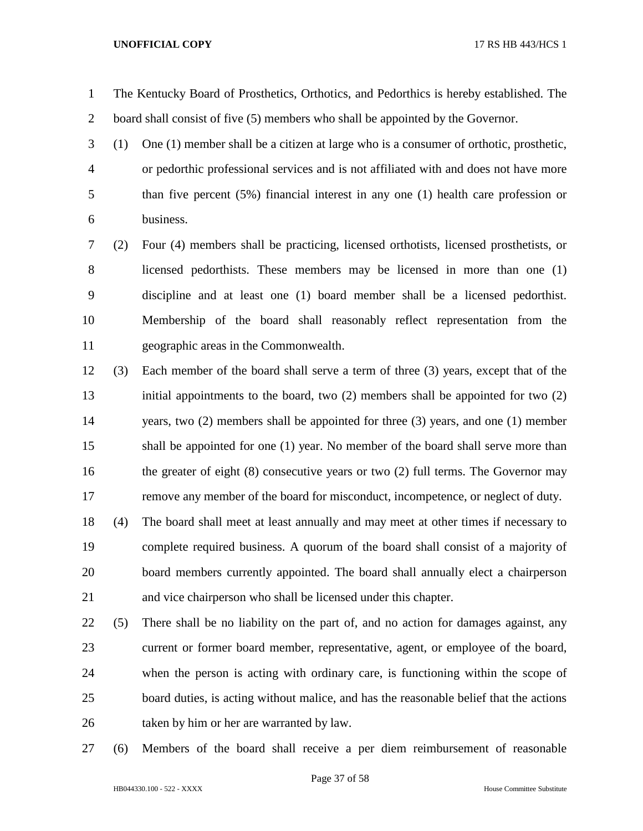The Kentucky Board of Prosthetics, Orthotics, and Pedorthics is hereby established. The 2 board shall consist of five (5) members who shall be appointed by the Governor.

- (1) One (1) member shall be a citizen at large who is a consumer of orthotic, prosthetic, or pedorthic professional services and is not affiliated with and does not have more than five percent (5%) financial interest in any one (1) health care profession or business.
- (2) Four (4) members shall be practicing, licensed orthotists, licensed prosthetists, or licensed pedorthists. These members may be licensed in more than one (1) discipline and at least one (1) board member shall be a licensed pedorthist. Membership of the board shall reasonably reflect representation from the geographic areas in the Commonwealth.
- (3) Each member of the board shall serve a term of three (3) years, except that of the initial appointments to the board, two (2) members shall be appointed for two (2) years, two (2) members shall be appointed for three (3) years, and one (1) member shall be appointed for one (1) year. No member of the board shall serve more than 16 the greater of eight (8) consecutive years or two (2) full terms. The Governor may remove any member of the board for misconduct, incompetence, or neglect of duty.
- (4) The board shall meet at least annually and may meet at other times if necessary to complete required business. A quorum of the board shall consist of a majority of board members currently appointed. The board shall annually elect a chairperson and vice chairperson who shall be licensed under this chapter.
- (5) There shall be no liability on the part of, and no action for damages against, any current or former board member, representative, agent, or employee of the board, when the person is acting with ordinary care, is functioning within the scope of board duties, is acting without malice, and has the reasonable belief that the actions taken by him or her are warranted by law.
- (6) Members of the board shall receive a per diem reimbursement of reasonable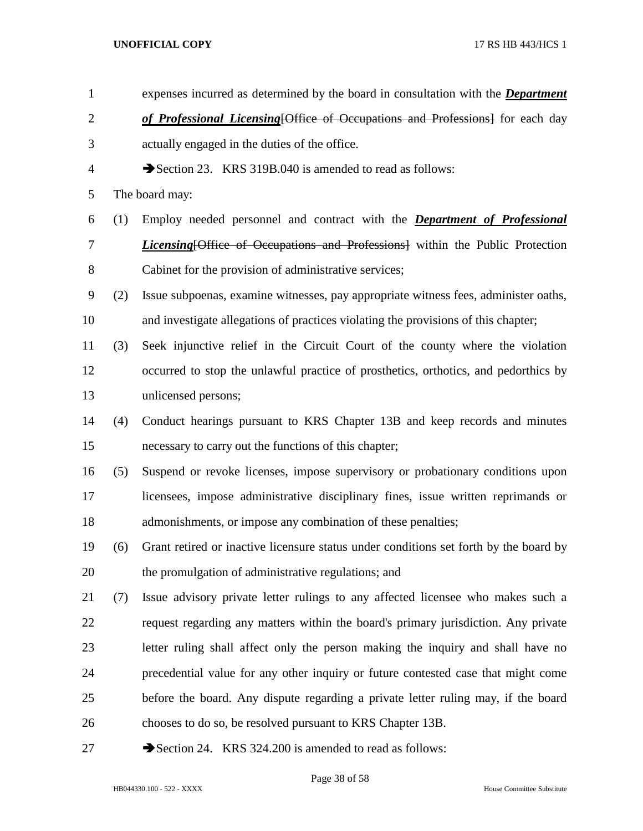| $\mathbf{1}$   |     | expenses incurred as determined by the board in consultation with the <i>Department</i> |
|----------------|-----|-----------------------------------------------------------------------------------------|
| $\overline{2}$ |     | of Professional Licensing [Office of Occupations and Professions] for each day          |
| 3              |     | actually engaged in the duties of the office.                                           |
| $\overline{4}$ |     | Section 23. KRS 319B.040 is amended to read as follows:                                 |
| 5              |     | The board may:                                                                          |
| 6              | (1) | Employ needed personnel and contract with the <b>Department of Professional</b>         |
| $\tau$         |     | <b>Licensing Office of Occupations and Professions</b> within the Public Protection     |
| $8\,$          |     | Cabinet for the provision of administrative services;                                   |
| $\mathbf{9}$   | (2) | Issue subpoenas, examine witnesses, pay appropriate witness fees, administer oaths,     |
| 10             |     | and investigate allegations of practices violating the provisions of this chapter;      |
| 11             | (3) | Seek injunctive relief in the Circuit Court of the county where the violation           |
| 12             |     | occurred to stop the unlawful practice of prosthetics, orthotics, and pedorthics by     |
| 13             |     | unlicensed persons;                                                                     |
| 14             | (4) | Conduct hearings pursuant to KRS Chapter 13B and keep records and minutes               |
| 15             |     | necessary to carry out the functions of this chapter;                                   |
| 16             | (5) | Suspend or revoke licenses, impose supervisory or probationary conditions upon          |
| 17             |     | licensees, impose administrative disciplinary fines, issue written reprimands or        |
| 18             |     | admonishments, or impose any combination of these penalties;                            |
| 19             | (6) | Grant retired or inactive licensure status under conditions set forth by the board by   |
| 20             |     | the promulgation of administrative regulations; and                                     |
| 21             | (7) | Issue advisory private letter rulings to any affected licensee who makes such a         |
| 22             |     | request regarding any matters within the board's primary jurisdiction. Any private      |
| 23             |     | letter ruling shall affect only the person making the inquiry and shall have no         |
| 24             |     | precedential value for any other inquiry or future contested case that might come       |
| 25             |     | before the board. Any dispute regarding a private letter ruling may, if the board       |
| 26             |     | chooses to do so, be resolved pursuant to KRS Chapter 13B.                              |
| 27             |     | Section 24. KRS 324.200 is amended to read as follows:                                  |

Page 38 of 58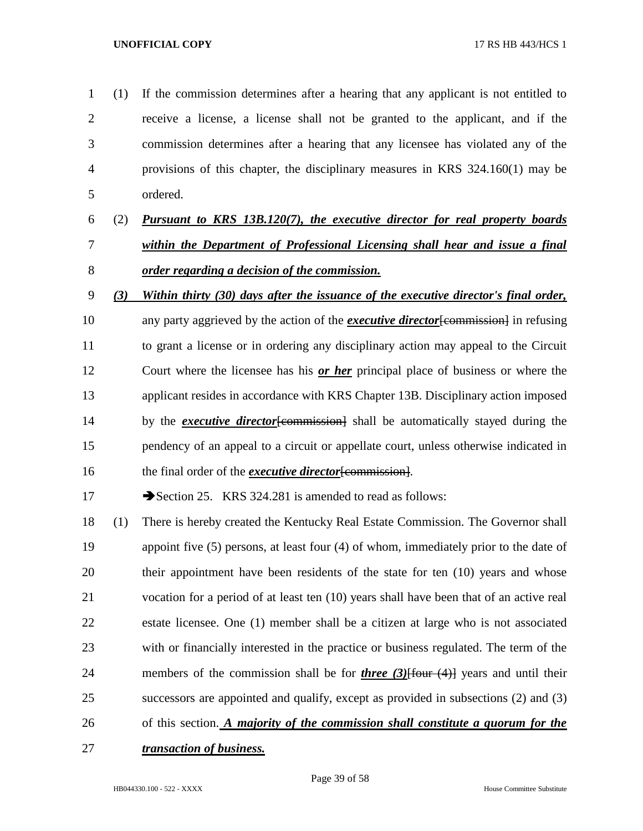- (1) If the commission determines after a hearing that any applicant is not entitled to receive a license, a license shall not be granted to the applicant, and if the commission determines after a hearing that any licensee has violated any of the provisions of this chapter, the disciplinary measures in KRS 324.160(1) may be ordered.
- (2) *Pursuant to KRS 13B.120(7), the executive director for real property boards within the Department of Professional Licensing shall hear and issue a final order regarding a decision of the commission.*
- *(3) Within thirty (30) days after the issuance of the executive director's final order,* any party aggrieved by the action of the *executive director*[commission] in refusing
- to grant a license or in ordering any disciplinary action may appeal to the Circuit Court where the licensee has his *or her* principal place of business or where the applicant resides in accordance with KRS Chapter 13B. Disciplinary action imposed 14 by the *executive director*[commission] shall be automatically stayed during the pendency of an appeal to a circuit or appellate court, unless otherwise indicated in 16 the final order of the *executive director* [commission].
- 17 Section 25. KRS 324.281 is amended to read as follows:
- (1) There is hereby created the Kentucky Real Estate Commission. The Governor shall appoint five (5) persons, at least four (4) of whom, immediately prior to the date of their appointment have been residents of the state for ten (10) years and whose vocation for a period of at least ten (10) years shall have been that of an active real estate licensee. One (1) member shall be a citizen at large who is not associated with or financially interested in the practice or business regulated. The term of the members of the commission shall be for *three (3)*[four (4)] years and until their successors are appointed and qualify, except as provided in subsections (2) and (3) of this section. *A majority of the commission shall constitute a quorum for the*
- *transaction of business.*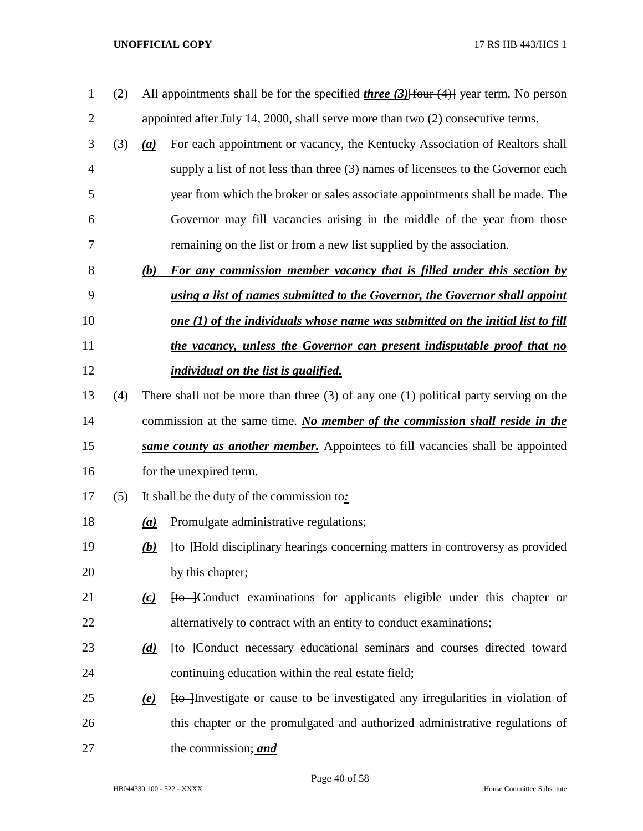| 1              | (2) |                              | All appointments shall be for the specified <i>three</i> $(3)$ [four $(4)$ ] year term. No person |
|----------------|-----|------------------------------|---------------------------------------------------------------------------------------------------|
| $\overline{2}$ |     |                              | appointed after July 14, 2000, shall serve more than two (2) consecutive terms.                   |
| 3              | (3) | (a)                          | For each appointment or vacancy, the Kentucky Association of Realtors shall                       |
| 4              |     |                              | supply a list of not less than three (3) names of licensees to the Governor each                  |
| 5              |     |                              | year from which the broker or sales associate appointments shall be made. The                     |
| 6              |     |                              | Governor may fill vacancies arising in the middle of the year from those                          |
| 7              |     |                              | remaining on the list or from a new list supplied by the association.                             |
| 8              |     | (b)                          | For any commission member vacancy that is filled under this section by                            |
| 9              |     |                              | using a list of names submitted to the Governor, the Governor shall appoint                       |
| 10             |     |                              | <u>one (1) of the individuals whose name was submitted on the initial list to fill</u>            |
| 11             |     |                              | the vacancy, unless the Governor can present indisputable proof that no                           |
| 12             |     |                              | <i>individual on the list is qualified.</i>                                                       |
| 13             | (4) |                              | There shall not be more than three $(3)$ of any one $(1)$ political party serving on the          |
| 14             |     |                              | commission at the same time. No member of the commission shall reside in the                      |
| 15             |     |                              | same county as another member. Appointees to fill vacancies shall be appointed                    |
| 16             |     |                              | for the unexpired term.                                                                           |
| 17             | (5) |                              | It shall be the duty of the commission to:                                                        |
| 18             |     | (a)                          | Promulgate administrative regulations;                                                            |
| 19             |     | <u>(b)</u>                   | Hold disciplinary hearings concerning matters in controversy as provided                          |
| 20             |     |                              | by this chapter;                                                                                  |
| 21             |     | $\omega$                     | <b>to</b> Conduct examinations for applicants eligible under this chapter or                      |
| 22             |     |                              | alternatively to contract with an entity to conduct examinations;                                 |
| 23             |     | (d)                          | [to ]Conduct necessary educational seminars and courses directed toward                           |
| 24             |     |                              | continuing education within the real estate field;                                                |
| 25             |     | $\left(\underline{e}\right)$ | [to ]Investigate or cause to be investigated any irregularities in violation of                   |
| 26             |     |                              | this chapter or the promulgated and authorized administrative regulations of                      |
| 27             |     |                              | the commission; and                                                                               |

Page 40 of 58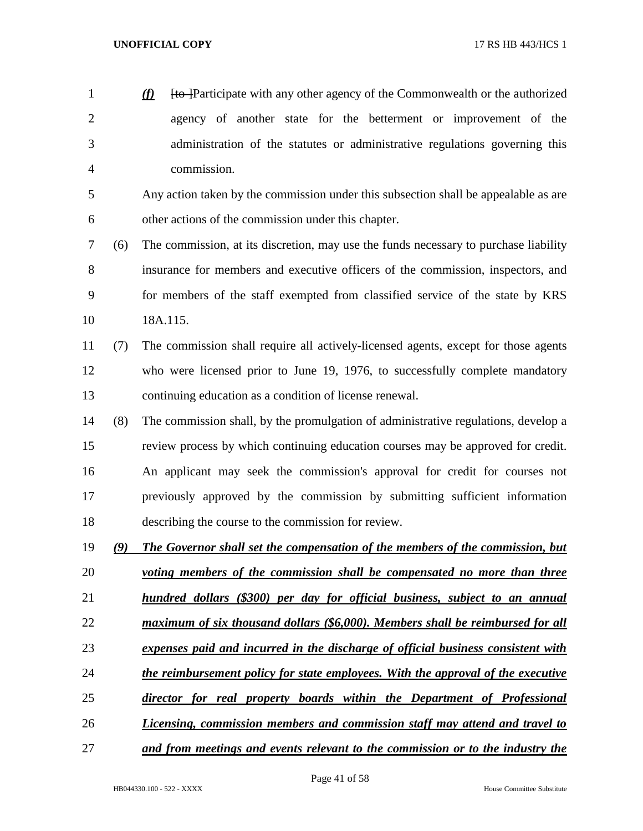- *(f)* [to ]Participate with any other agency of the Commonwealth or the authorized agency of another state for the betterment or improvement of the administration of the statutes or administrative regulations governing this commission.
- Any action taken by the commission under this subsection shall be appealable as are other actions of the commission under this chapter.
- (6) The commission, at its discretion, may use the funds necessary to purchase liability insurance for members and executive officers of the commission, inspectors, and for members of the staff exempted from classified service of the state by KRS 18A.115.
- (7) The commission shall require all actively-licensed agents, except for those agents who were licensed prior to June 19, 1976, to successfully complete mandatory continuing education as a condition of license renewal.
- (8) The commission shall, by the promulgation of administrative regulations, develop a review process by which continuing education courses may be approved for credit. An applicant may seek the commission's approval for credit for courses not previously approved by the commission by submitting sufficient information describing the course to the commission for review.
- *(9) The Governor shall set the compensation of the members of the commission, but voting members of the commission shall be compensated no more than three hundred dollars (\$300) per day for official business, subject to an annual maximum of six thousand dollars (\$6,000). Members shall be reimbursed for all expenses paid and incurred in the discharge of official business consistent with the reimbursement policy for state employees. With the approval of the executive director for real property boards within the Department of Professional*
- *Licensing, commission members and commission staff may attend and travel to*
- *and from meetings and events relevant to the commission or to the industry the*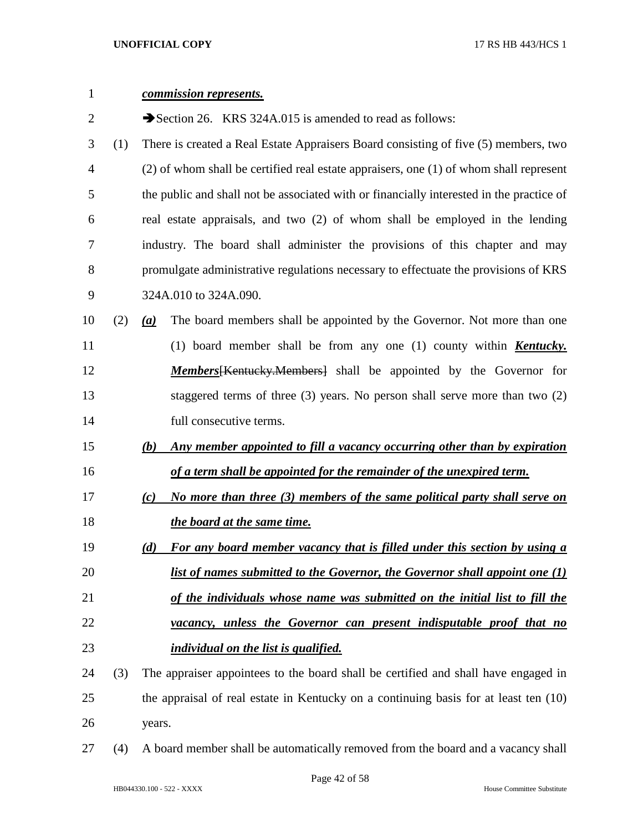| 1              |     | commission represents.                                                                   |
|----------------|-----|------------------------------------------------------------------------------------------|
| $\overline{2}$ |     | Section 26. KRS 324A.015 is amended to read as follows:                                  |
| 3              | (1) | There is created a Real Estate Appraisers Board consisting of five (5) members, two      |
| 4              |     | (2) of whom shall be certified real estate appraisers, one (1) of whom shall represent   |
| 5              |     | the public and shall not be associated with or financially interested in the practice of |
| 6              |     | real estate appraisals, and two (2) of whom shall be employed in the lending             |
| 7              |     | industry. The board shall administer the provisions of this chapter and may              |
| 8              |     | promulgate administrative regulations necessary to effectuate the provisions of KRS      |
| 9              |     | 324A.010 to 324A.090.                                                                    |
| 10             | (2) | The board members shall be appointed by the Governor. Not more than one<br>(a)           |
| 11             |     | (1) board member shall be from any one (1) county within <b>Kentucky</b> .               |
| 12             |     | <b>Members</b> [Kentucky.Members] shall be appointed by the Governor for                 |
| 13             |     | staggered terms of three (3) years. No person shall serve more than two (2)              |
| 14             |     | full consecutive terms.                                                                  |
| 15             |     | Any member appointed to fill a vacancy occurring other than by expiration<br>(b)         |
| 16             |     | of a term shall be appointed for the remainder of the unexpired term.                    |
| 17             |     | No more than three (3) members of the same political party shall serve on<br>(c)         |
| 18             |     | the board at the same time.                                                              |
| 19             |     | For any board member vacancy that is filled under this section by using a<br>(d)         |
| 20             |     | list of names submitted to the Governor, the Governor shall appoint one $(1)$            |
| 21             |     | of the individuals whose name was submitted on the initial list to fill the              |
| 22             |     | vacancy, unless the Governor can present indisputable proof that no                      |
| 23             |     | <i>individual on the list is qualified.</i>                                              |
| 24             | (3) | The appraiser appointees to the board shall be certified and shall have engaged in       |
| 25             |     | the appraisal of real estate in Kentucky on a continuing basis for at least ten (10)     |
| 26             |     | years.                                                                                   |
| 27             | (4) | A board member shall be automatically removed from the board and a vacancy shall         |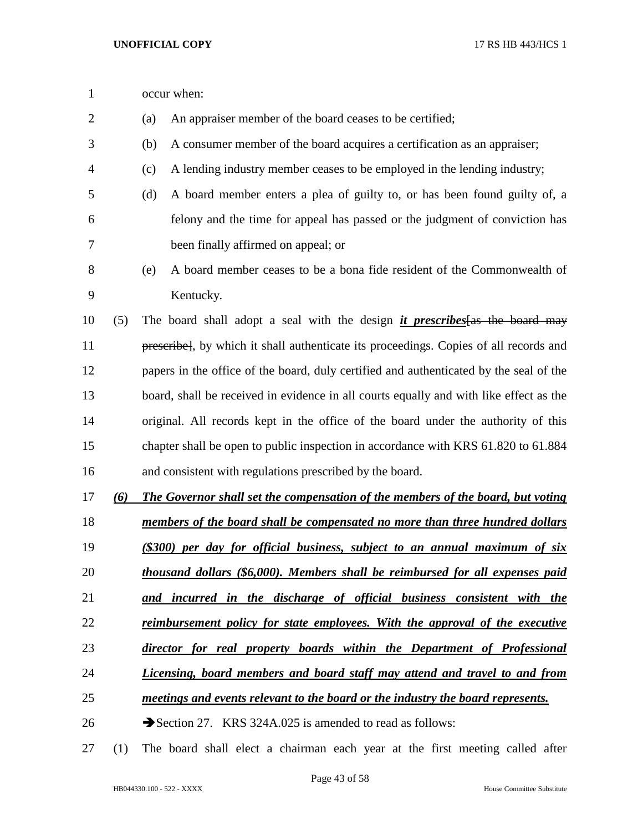| 1              |     |     | occur when:                                                                            |
|----------------|-----|-----|----------------------------------------------------------------------------------------|
| $\overline{2}$ |     | (a) | An appraiser member of the board ceases to be certified;                               |
| 3              |     | (b) | A consumer member of the board acquires a certification as an appraiser;               |
| 4              |     | (c) | A lending industry member ceases to be employed in the lending industry;               |
| 5              |     | (d) | A board member enters a plea of guilty to, or has been found guilty of, a              |
| 6              |     |     | felony and the time for appeal has passed or the judgment of conviction has            |
| 7              |     |     | been finally affirmed on appeal; or                                                    |
| 8              |     | (e) | A board member ceases to be a bona fide resident of the Commonwealth of                |
| 9              |     |     | Kentucky.                                                                              |
| 10             | (5) |     | The board shall adopt a seal with the design <i>it prescribes</i> as the board may     |
| 11             |     |     | prescribel, by which it shall authenticate its proceedings. Copies of all records and  |
| 12             |     |     | papers in the office of the board, duly certified and authenticated by the seal of the |
| 13             |     |     | board, shall be received in evidence in all courts equally and with like effect as the |
| 14             |     |     | original. All records kept in the office of the board under the authority of this      |
| 15             |     |     | chapter shall be open to public inspection in accordance with KRS 61.820 to 61.884     |
| 16             |     |     | and consistent with regulations prescribed by the board.                               |
| 17             | (6) |     | The Governor shall set the compensation of the members of the board, but voting        |
| 18             |     |     | members of the board shall be compensated no more than three hundred dollars           |
| 19             |     |     | (\$300) per day for official business, subject to an annual maximum of six             |
| 20             |     |     | thousand dollars (\$6,000). Members shall be reimbursed for all expenses paid          |
| 21             |     |     | and incurred in the discharge of official business consistent with the                 |
| 22             |     |     | reimbursement policy for state employees. With the approval of the executive           |
| 23             |     |     | director for real property boards within the Department of Professional                |
| 24             |     |     | Licensing, board members and board staff may attend and travel to and from             |
| 25             |     |     | meetings and events relevant to the board or the industry the board represents.        |
| 26             |     |     | Section 27. KRS 324A.025 is amended to read as follows:                                |
|                |     |     |                                                                                        |

(1) The board shall elect a chairman each year at the first meeting called after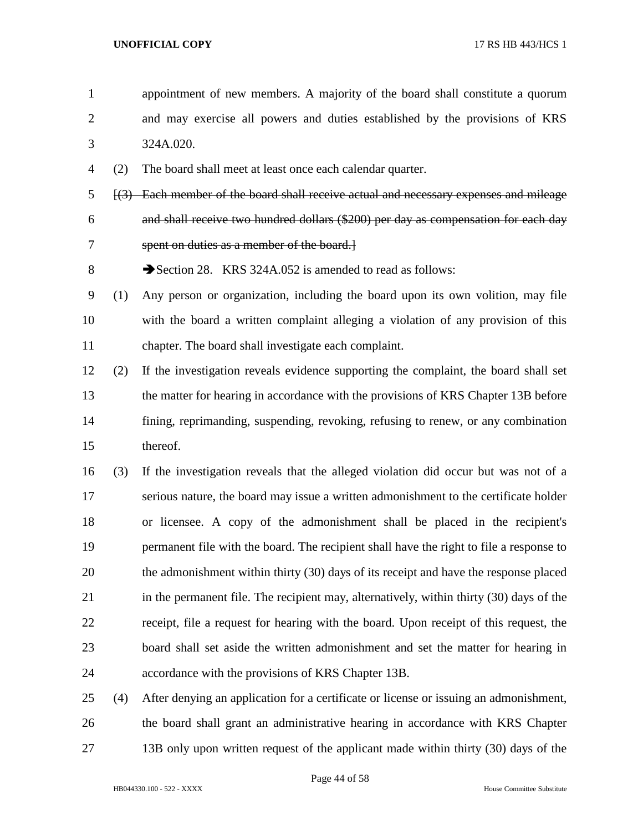- appointment of new members. A majority of the board shall constitute a quorum and may exercise all powers and duties established by the provisions of KRS 324A.020. (2) The board shall meet at least once each calendar quarter. [(3) Each member of the board shall receive actual and necessary expenses and mileage and shall receive two hundred dollars (\$200) per day as compensation for each day spent on duties as a member of the board.] 8 Section 28. KRS 324A.052 is amended to read as follows: (1) Any person or organization, including the board upon its own volition, may file with the board a written complaint alleging a violation of any provision of this chapter. The board shall investigate each complaint. (2) If the investigation reveals evidence supporting the complaint, the board shall set the matter for hearing in accordance with the provisions of KRS Chapter 13B before fining, reprimanding, suspending, revoking, refusing to renew, or any combination thereof. (3) If the investigation reveals that the alleged violation did occur but was not of a serious nature, the board may issue a written admonishment to the certificate holder or licensee. A copy of the admonishment shall be placed in the recipient's permanent file with the board. The recipient shall have the right to file a response to the admonishment within thirty (30) days of its receipt and have the response placed in the permanent file. The recipient may, alternatively, within thirty (30) days of the receipt, file a request for hearing with the board. Upon receipt of this request, the board shall set aside the written admonishment and set the matter for hearing in accordance with the provisions of KRS Chapter 13B. (4) After denying an application for a certificate or license or issuing an admonishment, the board shall grant an administrative hearing in accordance with KRS Chapter
- 27 13B only upon written request of the applicant made within thirty (30) days of the

Page 44 of 58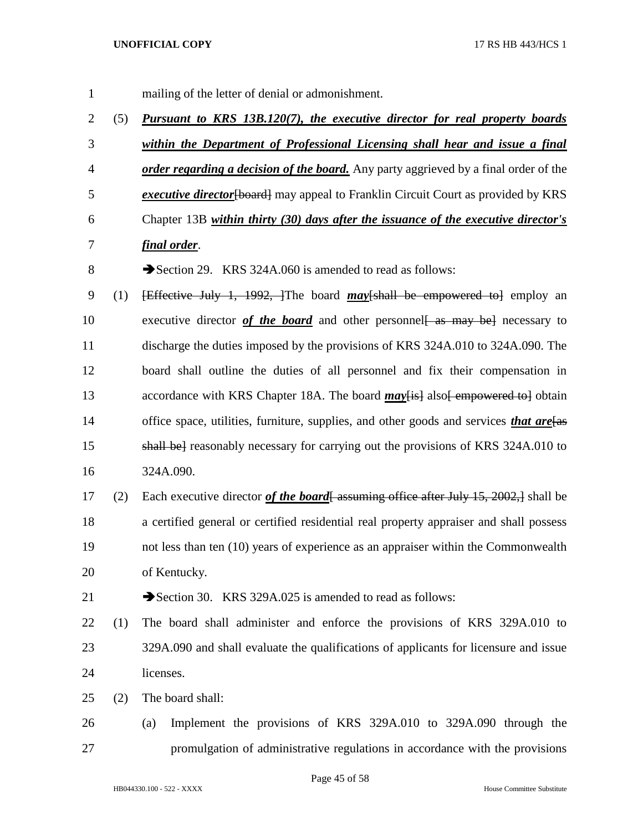- mailing of the letter of denial or admonishment.
- (5) *Pursuant to KRS 13B.120(7), the executive director for real property boards within the Department of Professional Licensing shall hear and issue a final order regarding a decision of the board.* Any party aggrieved by a final order of the *executive director*[board] may appeal to Franklin Circuit Court as provided by KRS Chapter 13B *within thirty (30) days after the issuance of the executive director's final order*. 8 Section 29. KRS 324A.060 is amended to read as follows: (1) [Effective July 1, 1992, ]The board *may*[shall be empowered to] employ an 10 executive director *of the board* and other personnel as may be necessary to discharge the duties imposed by the provisions of KRS 324A.010 to 324A.090. The board shall outline the duties of all personnel and fix their compensation in 13 accordance with KRS Chapter 18A. The board *may* [is] also [ empowered to ] obtain 14 office space, utilities, furniture, supplies, and other goods and services *that are*[as] shall be] reasonably necessary for carrying out the provisions of KRS 324A.010 to
- 324A.090.
- 17 (2) Each executive director *of the board*—<del>Easily assuming office after July 15, 2002,]</del> shall be a certified general or certified residential real property appraiser and shall possess not less than ten (10) years of experience as an appraiser within the Commonwealth of Kentucky.
- 21  $\rightarrow$  Section 30. KRS 329A.025 is amended to read as follows:
- (1) The board shall administer and enforce the provisions of KRS 329A.010 to 329A.090 and shall evaluate the qualifications of applicants for licensure and issue licenses.
- (2) The board shall:
- (a) Implement the provisions of KRS 329A.010 to 329A.090 through the promulgation of administrative regulations in accordance with the provisions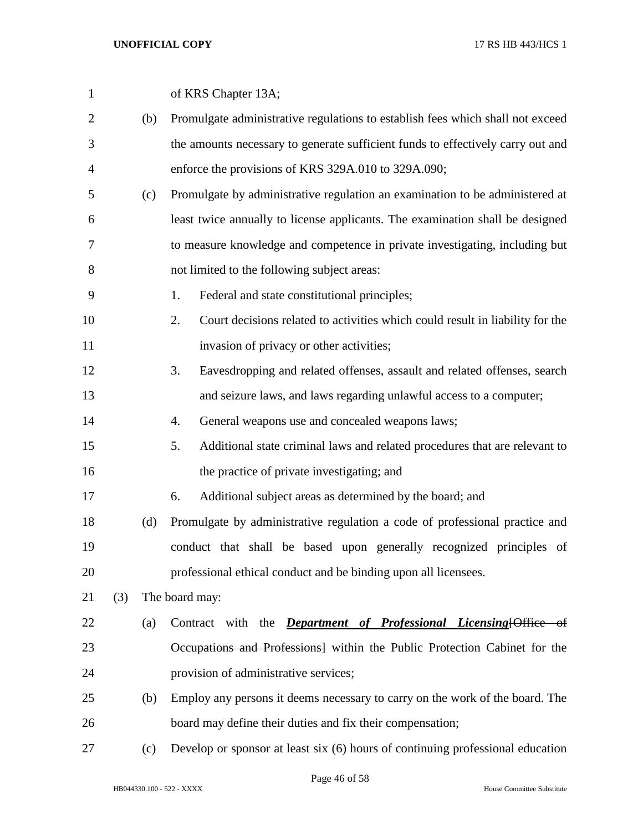| $\mathbf{1}$   |     |     | of KRS Chapter 13A;                                                                 |
|----------------|-----|-----|-------------------------------------------------------------------------------------|
| $\overline{2}$ |     | (b) | Promulgate administrative regulations to establish fees which shall not exceed      |
| 3              |     |     | the amounts necessary to generate sufficient funds to effectively carry out and     |
| 4              |     |     | enforce the provisions of KRS 329A.010 to 329A.090;                                 |
| 5              |     | (c) | Promulgate by administrative regulation an examination to be administered at        |
| 6              |     |     | least twice annually to license applicants. The examination shall be designed       |
| 7              |     |     | to measure knowledge and competence in private investigating, including but         |
| 8              |     |     | not limited to the following subject areas:                                         |
| 9              |     |     | Federal and state constitutional principles;<br>1.                                  |
| 10             |     |     | 2.<br>Court decisions related to activities which could result in liability for the |
| 11             |     |     | invasion of privacy or other activities;                                            |
| 12             |     |     | 3.<br>Eavesdropping and related offenses, assault and related offenses, search      |
| 13             |     |     | and seizure laws, and laws regarding unlawful access to a computer;                 |
| 14             |     |     | General weapons use and concealed weapons laws;<br>4.                               |
| 15             |     |     | 5.<br>Additional state criminal laws and related procedures that are relevant to    |
| 16             |     |     | the practice of private investigating; and                                          |
| 17             |     |     | Additional subject areas as determined by the board; and<br>6.                      |
| 18             |     | (d) | Promulgate by administrative regulation a code of professional practice and         |
| 19             |     |     | conduct that shall be based upon generally recognized principles of                 |
| 20             |     |     | professional ethical conduct and be binding upon all licensees.                     |
| 21             | (3) |     | The board may:                                                                      |
| 22             |     | (a) | Contract with the <i>Department of Professional Licensing</i> [Office of            |
| 23             |     |     | Occupations and Professions] within the Public Protection Cabinet for the           |
| 24             |     |     | provision of administrative services;                                               |
| 25             |     | (b) | Employ any persons it deems necessary to carry on the work of the board. The        |
| 26             |     |     | board may define their duties and fix their compensation;                           |
| 27             |     | (c) | Develop or sponsor at least six (6) hours of continuing professional education      |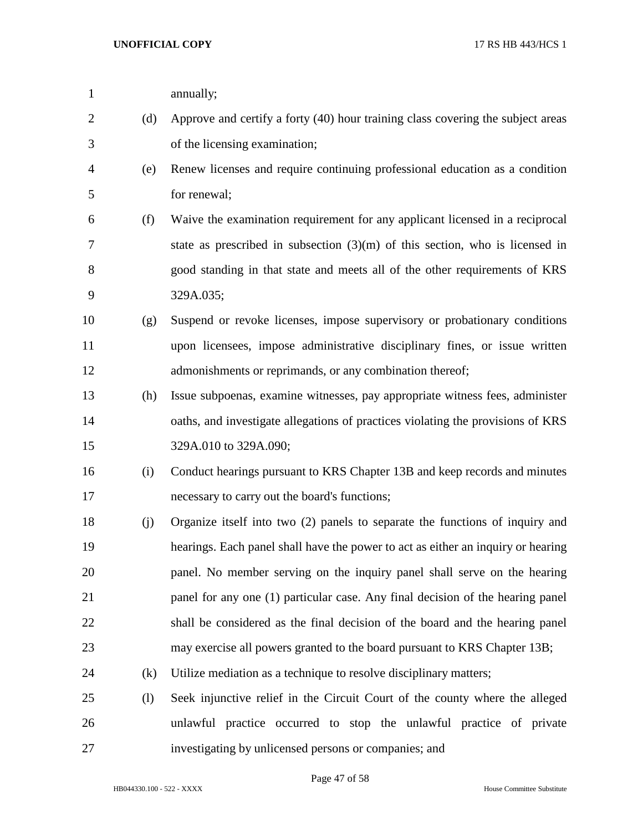| $\mathbf{1}$   |     | annually;                                                                        |
|----------------|-----|----------------------------------------------------------------------------------|
| $\overline{2}$ | (d) | Approve and certify a forty (40) hour training class covering the subject areas  |
| 3              |     | of the licensing examination;                                                    |
| $\overline{4}$ | (e) | Renew licenses and require continuing professional education as a condition      |
| 5              |     | for renewal;                                                                     |
| 6              | (f) | Waive the examination requirement for any applicant licensed in a reciprocal     |
| 7              |     | state as prescribed in subsection $(3)(m)$ of this section, who is licensed in   |
| 8              |     | good standing in that state and meets all of the other requirements of KRS       |
| 9              |     | 329A.035;                                                                        |
| 10             | (g) | Suspend or revoke licenses, impose supervisory or probationary conditions        |
| 11             |     | upon licensees, impose administrative disciplinary fines, or issue written       |
| 12             |     | admonishments or reprimands, or any combination thereof;                         |
| 13             | (h) | Issue subpoenas, examine witnesses, pay appropriate witness fees, administer     |
| 14             |     | oaths, and investigate allegations of practices violating the provisions of KRS  |
| 15             |     | 329A.010 to 329A.090;                                                            |
| 16             | (i) | Conduct hearings pursuant to KRS Chapter 13B and keep records and minutes        |
| 17             |     | necessary to carry out the board's functions;                                    |
| 18             | (j) | Organize itself into two (2) panels to separate the functions of inquiry and     |
| 19             |     | hearings. Each panel shall have the power to act as either an inquiry or hearing |
| 20             |     | panel. No member serving on the inquiry panel shall serve on the hearing         |
| 21             |     | panel for any one (1) particular case. Any final decision of the hearing panel   |
| 22             |     | shall be considered as the final decision of the board and the hearing panel     |
| 23             |     | may exercise all powers granted to the board pursuant to KRS Chapter 13B;        |
| 24             | (k) | Utilize mediation as a technique to resolve disciplinary matters;                |
| 25             | (1) | Seek injunctive relief in the Circuit Court of the county where the alleged      |
| 26             |     | unlawful practice occurred to stop the unlawful practice of private              |
| 27             |     | investigating by unlicensed persons or companies; and                            |

Page 47 of 58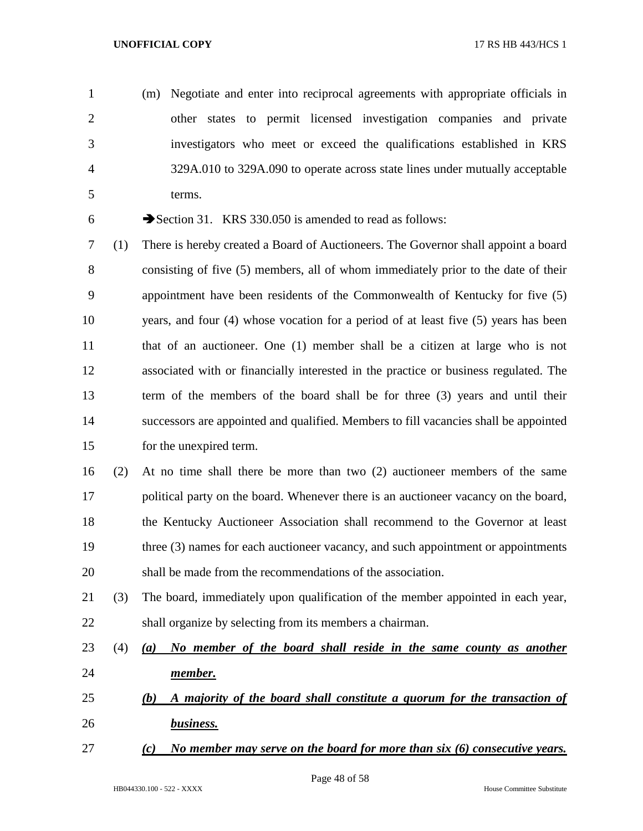- (m) Negotiate and enter into reciprocal agreements with appropriate officials in other states to permit licensed investigation companies and private investigators who meet or exceed the qualifications established in KRS 329A.010 to 329A.090 to operate across state lines under mutually acceptable terms.
- 
- Section 31. KRS 330.050 is amended to read as follows:

 (1) There is hereby created a Board of Auctioneers. The Governor shall appoint a board consisting of five (5) members, all of whom immediately prior to the date of their appointment have been residents of the Commonwealth of Kentucky for five (5) years, and four (4) whose vocation for a period of at least five (5) years has been that of an auctioneer. One (1) member shall be a citizen at large who is not associated with or financially interested in the practice or business regulated. The term of the members of the board shall be for three (3) years and until their successors are appointed and qualified. Members to fill vacancies shall be appointed for the unexpired term.

 (2) At no time shall there be more than two (2) auctioneer members of the same political party on the board. Whenever there is an auctioneer vacancy on the board, the Kentucky Auctioneer Association shall recommend to the Governor at least 19 three (3) names for each auctioneer vacancy, and such appointment or appointments shall be made from the recommendations of the association.

- (3) The board, immediately upon qualification of the member appointed in each year, shall organize by selecting from its members a chairman.
- (4) *(a) No member of the board shall reside in the same county as another member.*
- *(b) A majority of the board shall constitute a quorum for the transaction of business.*
- *(c) No member may serve on the board for more than six (6) consecutive years.*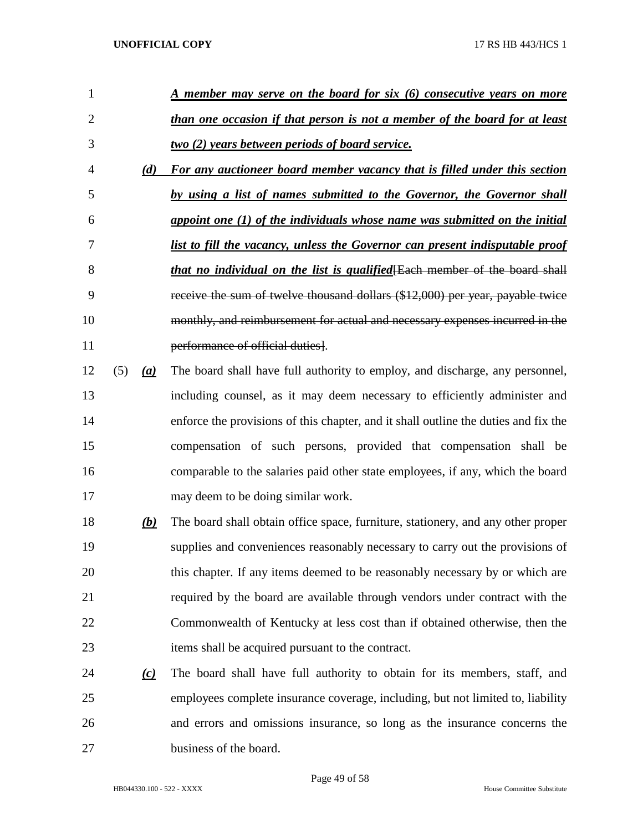| $\mathbf{1}$   |     |          | <u>A member may serve on the board for six (6) consecutive years on more</u>        |
|----------------|-----|----------|-------------------------------------------------------------------------------------|
| $\overline{2}$ |     |          | than one occasion if that person is not a member of the board for at least          |
| 3              |     |          | <u>two (2) years between periods of board service.</u>                              |
| 4              |     | (d)      | For any auctioneer board member vacancy that is filled under this section           |
| 5              |     |          | by using a list of names submitted to the Governor, the Governor shall              |
| 6              |     |          | appoint one (1) of the individuals whose name was submitted on the initial          |
| 7              |     |          | list to fill the vacancy, unless the Governor can present indisputable proof        |
| 8              |     |          | <i>that no individual on the list is qualified</i> [Each member of the board shall  |
| 9              |     |          | receive the sum of twelve thousand dollars (\$12,000) per year, payable twice       |
| 10             |     |          | monthly, and reimbursement for actual and necessary expenses incurred in the        |
| 11             |     |          | performance of official duties].                                                    |
| 12             | (5) | (a)      | The board shall have full authority to employ, and discharge, any personnel,        |
| 13             |     |          | including counsel, as it may deem necessary to efficiently administer and           |
| 14             |     |          | enforce the provisions of this chapter, and it shall outline the duties and fix the |
| 15             |     |          | compensation of such persons, provided that compensation shall be                   |
| 16             |     |          | comparable to the salaries paid other state employees, if any, which the board      |
| 17             |     |          | may deem to be doing similar work.                                                  |
| 18             |     | (b)      | The board shall obtain office space, furniture, stationery, and any other proper    |
| 19             |     |          | supplies and conveniences reasonably necessary to carry out the provisions of       |
| 20             |     |          | this chapter. If any items deemed to be reasonably necessary by or which are        |
| 21             |     |          | required by the board are available through vendors under contract with the         |
| 22             |     |          | Commonwealth of Kentucky at less cost than if obtained otherwise, then the          |
| 23             |     |          | items shall be acquired pursuant to the contract.                                   |
| 24             |     | $\omega$ | The board shall have full authority to obtain for its members, staff, and           |
| 25             |     |          | employees complete insurance coverage, including, but not limited to, liability     |
| 26             |     |          | and errors and omissions insurance, so long as the insurance concerns the           |
| 27             |     |          | business of the board.                                                              |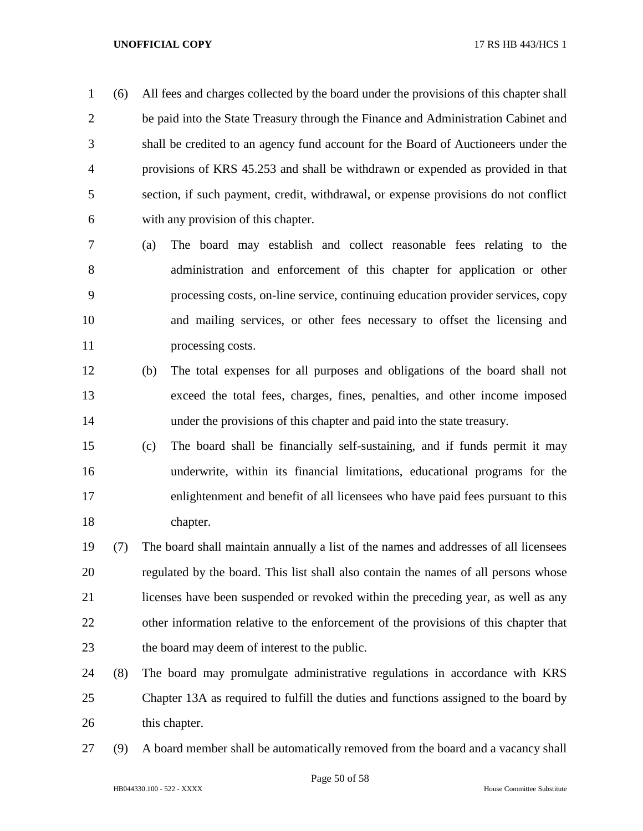(6) All fees and charges collected by the board under the provisions of this chapter shall be paid into the State Treasury through the Finance and Administration Cabinet and shall be credited to an agency fund account for the Board of Auctioneers under the provisions of KRS 45.253 and shall be withdrawn or expended as provided in that section, if such payment, credit, withdrawal, or expense provisions do not conflict with any provision of this chapter.

- (a) The board may establish and collect reasonable fees relating to the administration and enforcement of this chapter for application or other processing costs, on-line service, continuing education provider services, copy and mailing services, or other fees necessary to offset the licensing and processing costs.
- (b) The total expenses for all purposes and obligations of the board shall not exceed the total fees, charges, fines, penalties, and other income imposed under the provisions of this chapter and paid into the state treasury.
- (c) The board shall be financially self-sustaining, and if funds permit it may underwrite, within its financial limitations, educational programs for the enlightenment and benefit of all licensees who have paid fees pursuant to this chapter.
- (7) The board shall maintain annually a list of the names and addresses of all licensees regulated by the board. This list shall also contain the names of all persons whose licenses have been suspended or revoked within the preceding year, as well as any other information relative to the enforcement of the provisions of this chapter that the board may deem of interest to the public.
- (8) The board may promulgate administrative regulations in accordance with KRS Chapter 13A as required to fulfill the duties and functions assigned to the board by 26 this chapter.
- (9) A board member shall be automatically removed from the board and a vacancy shall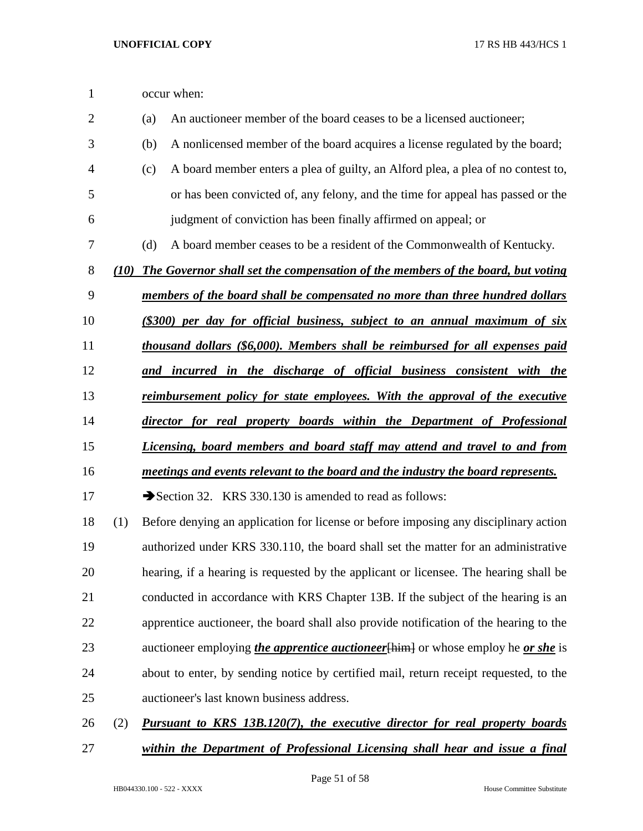| $\mathbf{1}$   |      |     | occur when:                                                                                     |
|----------------|------|-----|-------------------------------------------------------------------------------------------------|
| $\overline{2}$ |      | (a) | An auctioneer member of the board ceases to be a licensed auctioneer;                           |
| 3              |      | (b) | A nonlicensed member of the board acquires a license regulated by the board;                    |
| 4              |      | (c) | A board member enters a plea of guilty, an Alford plea, a plea of no contest to,                |
| 5              |      |     | or has been convicted of, any felony, and the time for appeal has passed or the                 |
| 6              |      |     | judgment of conviction has been finally affirmed on appeal; or                                  |
| 7              |      | (d) | A board member ceases to be a resident of the Commonwealth of Kentucky.                         |
| 8              | (10) |     | The Governor shall set the compensation of the members of the board, but voting                 |
| 9              |      |     | members of the board shall be compensated no more than three hundred dollars                    |
| 10             |      |     | (\$300) per day for official business, subject to an annual maximum of six                      |
| 11             |      |     | thousand dollars (\$6,000). Members shall be reimbursed for all expenses paid                   |
| 12             |      |     | and incurred in the discharge of official business consistent with the                          |
| 13             |      |     | reimbursement policy for state employees. With the approval of the executive                    |
| 14             |      |     | director for real property boards within the Department of Professional                         |
| 15             |      |     | Licensing, board members and board staff may attend and travel to and from                      |
| 16             |      |     | meetings and events relevant to the board and the industry the board represents.                |
| 17             |      |     | Section 32. KRS 330.130 is amended to read as follows:                                          |
| 18             | (1)  |     | Before denying an application for license or before imposing any disciplinary action            |
| 19             |      |     | authorized under KRS 330.110, the board shall set the matter for an administrative              |
| 20             |      |     | hearing, if a hearing is requested by the applicant or licensee. The hearing shall be           |
| 21             |      |     | conducted in accordance with KRS Chapter 13B. If the subject of the hearing is an               |
| 22             |      |     | apprentice auctioneer, the board shall also provide notification of the hearing to the          |
| 23             |      |     | auctioneer employing <i>the apprentice auctioneer</i> [him] or whose employ he <i>or she</i> is |
| 24             |      |     | about to enter, by sending notice by certified mail, return receipt requested, to the           |
| 25             |      |     | auctioneer's last known business address.                                                       |
| 26             | (2)  |     | <b>Pursuant to KRS 13B.120(7), the executive director for real property boards</b>              |
| 27             |      |     | within the Department of Professional Licensing shall hear and issue a final                    |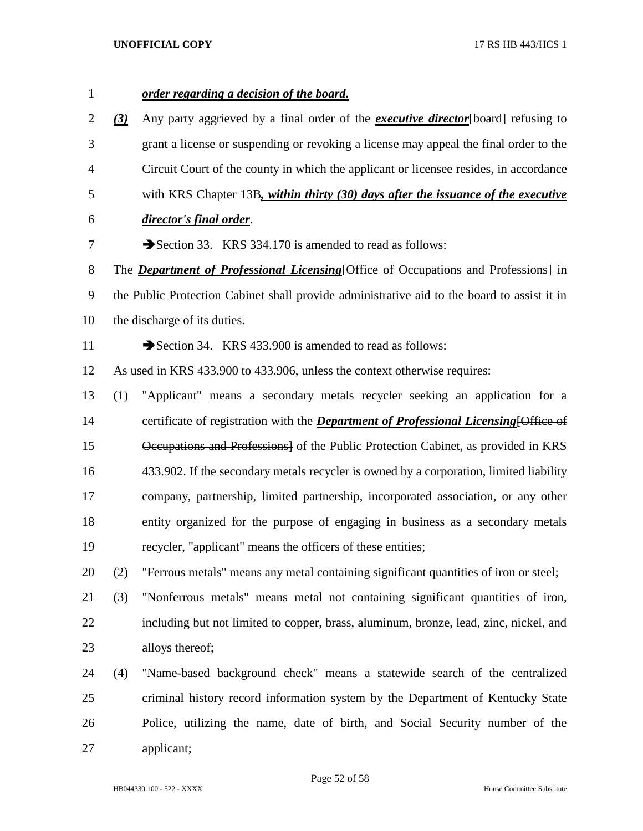*order regarding a decision of the board. (3)* Any party aggrieved by a final order of the *executive director*[board] refusing to grant a license or suspending or revoking a license may appeal the final order to the Circuit Court of the county in which the applicant or licensee resides, in accordance with KRS Chapter 13B*, within thirty (30) days after the issuance of the executive director's final order*. 7 Section 33. KRS 334.170 is amended to read as follows: The *Department of Professional Licensing*[Office of Occupations and Professions] in the Public Protection Cabinet shall provide administrative aid to the board to assist it in the discharge of its duties. 11 Section 34. KRS 433.900 is amended to read as follows: As used in KRS 433.900 to 433.906, unless the context otherwise requires: (1) "Applicant" means a secondary metals recycler seeking an application for a certificate of registration with the *Department of Professional Licensing*[Office of Occupations and Professions] of the Public Protection Cabinet, as provided in KRS 433.902. If the secondary metals recycler is owned by a corporation, limited liability company, partnership, limited partnership, incorporated association, or any other entity organized for the purpose of engaging in business as a secondary metals recycler, "applicant" means the officers of these entities; (2) "Ferrous metals" means any metal containing significant quantities of iron or steel; (3) "Nonferrous metals" means metal not containing significant quantities of iron, including but not limited to copper, brass, aluminum, bronze, lead, zinc, nickel, and alloys thereof; (4) "Name-based background check" means a statewide search of the centralized criminal history record information system by the Department of Kentucky State Police, utilizing the name, date of birth, and Social Security number of the applicant;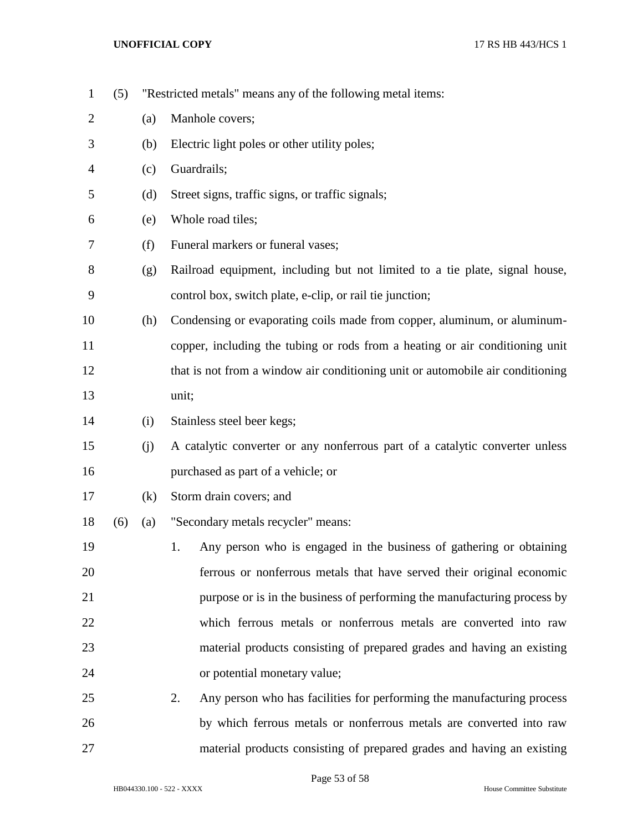(5) "Restricted metals" means any of the following metal items: 2 (a) Manhole covers: (b) Electric light poles or other utility poles; (c) Guardrails; (d) Street signs, traffic signs, or traffic signals; (e) Whole road tiles; (f) Funeral markers or funeral vases; (g) Railroad equipment, including but not limited to a tie plate, signal house, control box, switch plate, e-clip, or rail tie junction; (h) Condensing or evaporating coils made from copper, aluminum, or aluminum- copper, including the tubing or rods from a heating or air conditioning unit that is not from a window air conditioning unit or automobile air conditioning unit; (i) Stainless steel beer kegs; (j) A catalytic converter or any nonferrous part of a catalytic converter unless purchased as part of a vehicle; or (k) Storm drain covers; and (6) (a) "Secondary metals recycler" means: 1. Any person who is engaged in the business of gathering or obtaining ferrous or nonferrous metals that have served their original economic purpose or is in the business of performing the manufacturing process by which ferrous metals or nonferrous metals are converted into raw material products consisting of prepared grades and having an existing or potential monetary value; 2. Any person who has facilities for performing the manufacturing process by which ferrous metals or nonferrous metals are converted into raw material products consisting of prepared grades and having an existing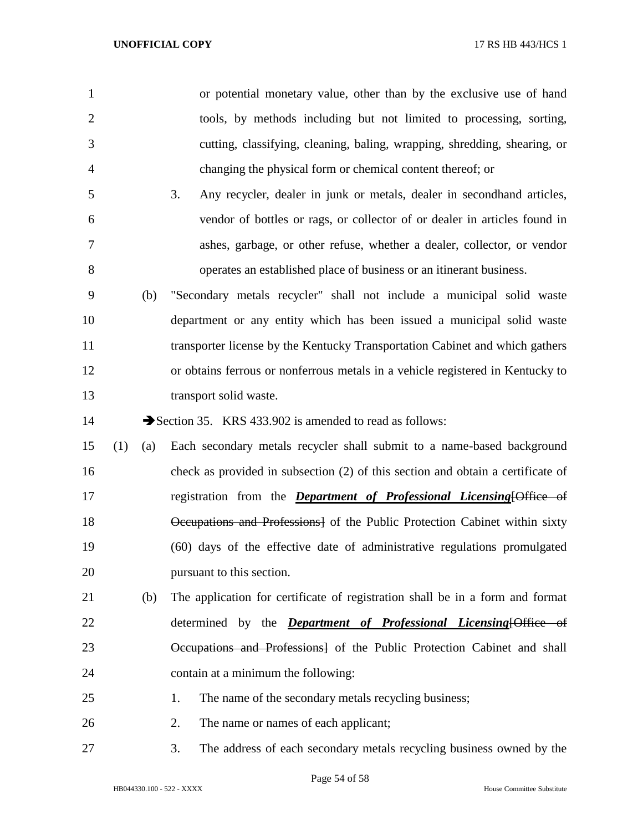| 1              |     |     | or potential monetary value, other than by the exclusive use of hand            |
|----------------|-----|-----|---------------------------------------------------------------------------------|
| $\overline{2}$ |     |     | tools, by methods including but not limited to processing, sorting,             |
| 3              |     |     | cutting, classifying, cleaning, baling, wrapping, shredding, shearing, or       |
| $\overline{4}$ |     |     | changing the physical form or chemical content thereof; or                      |
| 5              |     |     | 3.<br>Any recycler, dealer in junk or metals, dealer in second hand articles,   |
| 6              |     |     | vendor of bottles or rags, or collector of or dealer in articles found in       |
| 7              |     |     | ashes, garbage, or other refuse, whether a dealer, collector, or vendor         |
| 8              |     |     | operates an established place of business or an itinerant business.             |
| 9              |     | (b) | "Secondary metals recycler" shall not include a municipal solid waste           |
| 10             |     |     | department or any entity which has been issued a municipal solid waste          |
| 11             |     |     | transporter license by the Kentucky Transportation Cabinet and which gathers    |
| 12             |     |     | or obtains ferrous or nonferrous metals in a vehicle registered in Kentucky to  |
| 13             |     |     | transport solid waste.                                                          |
| 14             |     |     | Section 35. KRS 433.902 is amended to read as follows:                          |
| 15             | (1) | (a) | Each secondary metals recycler shall submit to a name-based background          |
| 16             |     |     | check as provided in subsection (2) of this section and obtain a certificate of |
| 17             |     |     | registration from the <i>Department of Professional Licensing</i> [Office of    |
| 18             |     |     | Occupations and Professions of the Public Protection Cabinet within sixty       |
| 19             |     |     | (60) days of the effective date of administrative regulations promulgated       |
| 20             |     |     | pursuant to this section.                                                       |
| 21             |     | (b) | The application for certificate of registration shall be in a form and format   |
| 22             |     |     | determined by the <i>Department of Professional Licensing</i> [Office of        |
| 23             |     |     | Occupations and Professions] of the Public Protection Cabinet and shall         |
| 24             |     |     | contain at a minimum the following:                                             |
| 25             |     |     | The name of the secondary metals recycling business;<br>1.                      |
| 26             |     |     | 2.<br>The name or names of each applicant;                                      |
| 27             |     |     | The address of each secondary metals recycling business owned by the<br>3.      |

Page 54 of 58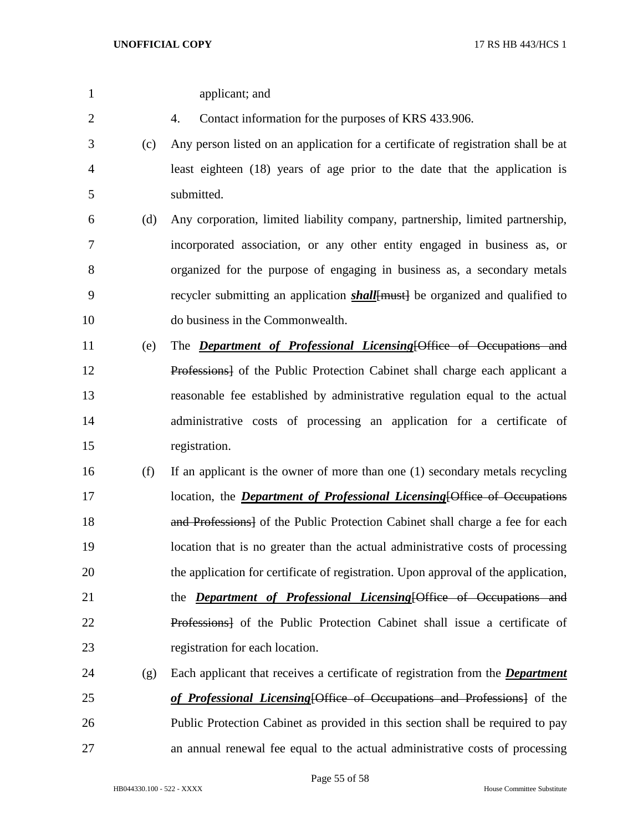| $\mathbf{1}$   |     | applicant; and                                                                        |
|----------------|-----|---------------------------------------------------------------------------------------|
| $\overline{c}$ |     | Contact information for the purposes of KRS 433.906.<br>4.                            |
| 3              | (c) | Any person listed on an application for a certificate of registration shall be at     |
| 4              |     | least eighteen (18) years of age prior to the date that the application is            |
| 5              |     | submitted.                                                                            |
| 6              | (d) | Any corporation, limited liability company, partnership, limited partnership,         |
| 7              |     | incorporated association, or any other entity engaged in business as, or              |
| 8              |     | organized for the purpose of engaging in business as, a secondary metals              |
| 9              |     | recycler submitting an application <i>shall</i> [must] be organized and qualified to  |
| 10             |     | do business in the Commonwealth.                                                      |
| 11             | (e) | The <b>Department of Professional Licensing</b> [Office of Occupations and            |
| 12             |     | Professions] of the Public Protection Cabinet shall charge each applicant a           |
| 13             |     | reasonable fee established by administrative regulation equal to the actual           |
| 14             |     | administrative costs of processing an application for a certificate of                |
| 15             |     | registration.                                                                         |
| 16             | (f) | If an applicant is the owner of more than one (1) secondary metals recycling          |
| 17             |     | location, the <b>Department of Professional Licensing</b> [Office of Occupations      |
| 18             |     | and Professions] of the Public Protection Cabinet shall charge a fee for each         |
| 19             |     | location that is no greater than the actual administrative costs of processing        |
| 20             |     | the application for certificate of registration. Upon approval of the application,    |
| 21             |     | the <b>Department of Professional Licensing</b> [Office of Occupations and            |
| 22             |     | Professions] of the Public Protection Cabinet shall issue a certificate of            |
| 23             |     | registration for each location.                                                       |
| 24             | (g) | Each applicant that receives a certificate of registration from the <b>Department</b> |
| 25             |     | of Professional Licensing [Office of Occupations and Professions] of the              |
| 26             |     | Public Protection Cabinet as provided in this section shall be required to pay        |
| 27             |     | an annual renewal fee equal to the actual administrative costs of processing          |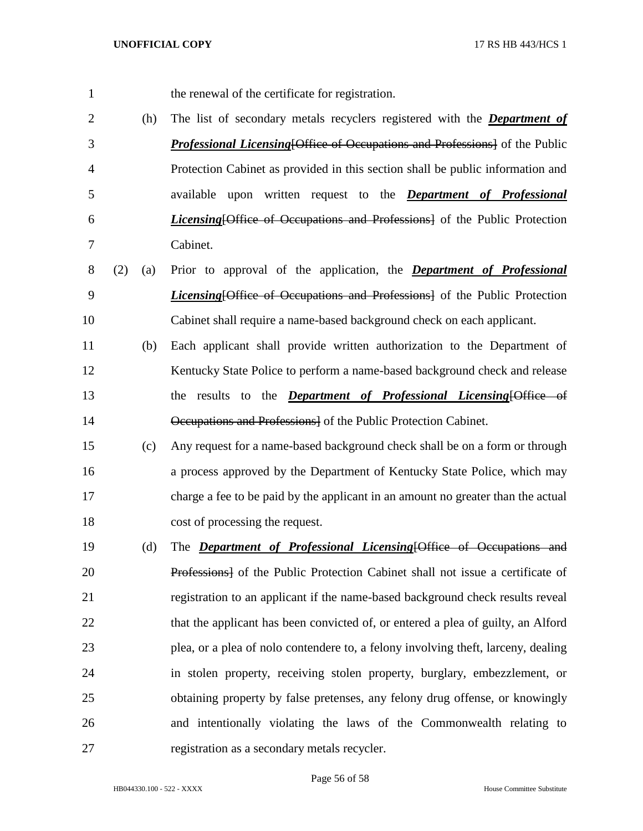the renewal of the certificate for registration.

- (h) The list of secondary metals recyclers registered with the *Department of Professional Licensing*[Office of Occupations and Professions] of the Public Protection Cabinet as provided in this section shall be public information and available upon written request to the *Department of Professional Licensing*[Office of Occupations and Professions] of the Public Protection Cabinet.
- (2) (a) Prior to approval of the application, the *Department of Professional Licensing*[Office of Occupations and Professions] of the Public Protection Cabinet shall require a name-based background check on each applicant.
- (b) Each applicant shall provide written authorization to the Department of Kentucky State Police to perform a name-based background check and release the results to the *Department of Professional Licensing*[Office of Occupations and Professions] of the Public Protection Cabinet.
- (c) Any request for a name-based background check shall be on a form or through a process approved by the Department of Kentucky State Police, which may charge a fee to be paid by the applicant in an amount no greater than the actual cost of processing the request.
- (d) The *Department of Professional Licensing*[Office of Occupations and **Professions** Professions Protection Cabinet shall not issue a certificate of registration to an applicant if the name-based background check results reveal 22 that the applicant has been convicted of, or entered a plea of guilty, an Alford plea, or a plea of nolo contendere to, a felony involving theft, larceny, dealing in stolen property, receiving stolen property, burglary, embezzlement, or obtaining property by false pretenses, any felony drug offense, or knowingly and intentionally violating the laws of the Commonwealth relating to registration as a secondary metals recycler.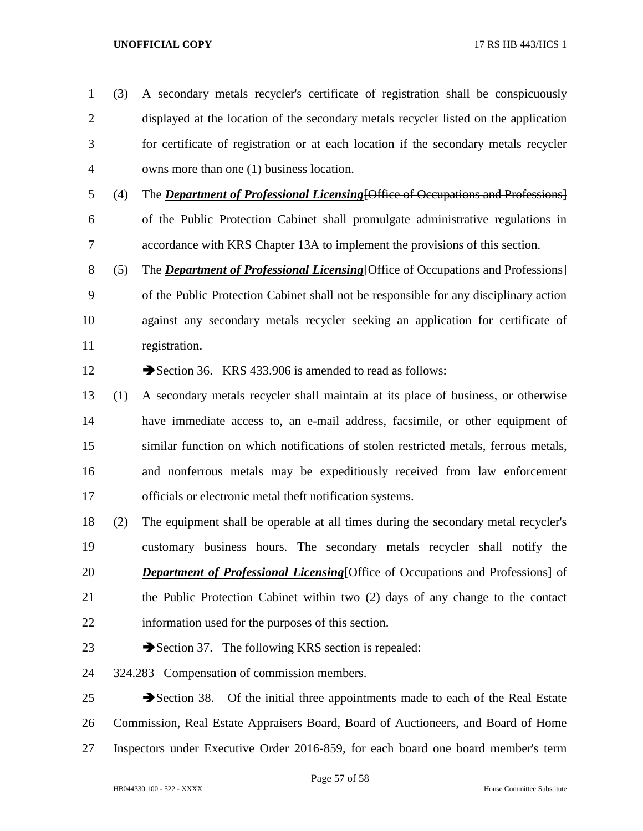- (3) A secondary metals recycler's certificate of registration shall be conspicuously displayed at the location of the secondary metals recycler listed on the application for certificate of registration or at each location if the secondary metals recycler owns more than one (1) business location.
- (4) The *Department of Professional Licensing*[Office of Occupations and Professions] of the Public Protection Cabinet shall promulgate administrative regulations in accordance with KRS Chapter 13A to implement the provisions of this section.
- (5) The *Department of Professional Licensing*[Office of Occupations and Professions]
- of the Public Protection Cabinet shall not be responsible for any disciplinary action against any secondary metals recycler seeking an application for certificate of registration.

12 Section 36. KRS 433.906 is amended to read as follows:

- (1) A secondary metals recycler shall maintain at its place of business, or otherwise have immediate access to, an e-mail address, facsimile, or other equipment of similar function on which notifications of stolen restricted metals, ferrous metals, and nonferrous metals may be expeditiously received from law enforcement officials or electronic metal theft notification systems.
- (2) The equipment shall be operable at all times during the secondary metal recycler's customary business hours. The secondary metals recycler shall notify the *Department of Professional Licensing*[Office of Occupations and Professions] of the Public Protection Cabinet within two (2) days of any change to the contact
- information used for the purposes of this section.
- 23  $\rightarrow$  Section 37. The following KRS section is repealed:
- 324.283 Compensation of commission members.

25 Section 38. Of the initial three appointments made to each of the Real Estate Commission, Real Estate Appraisers Board, Board of Auctioneers, and Board of Home Inspectors under Executive Order 2016-859, for each board one board member's term